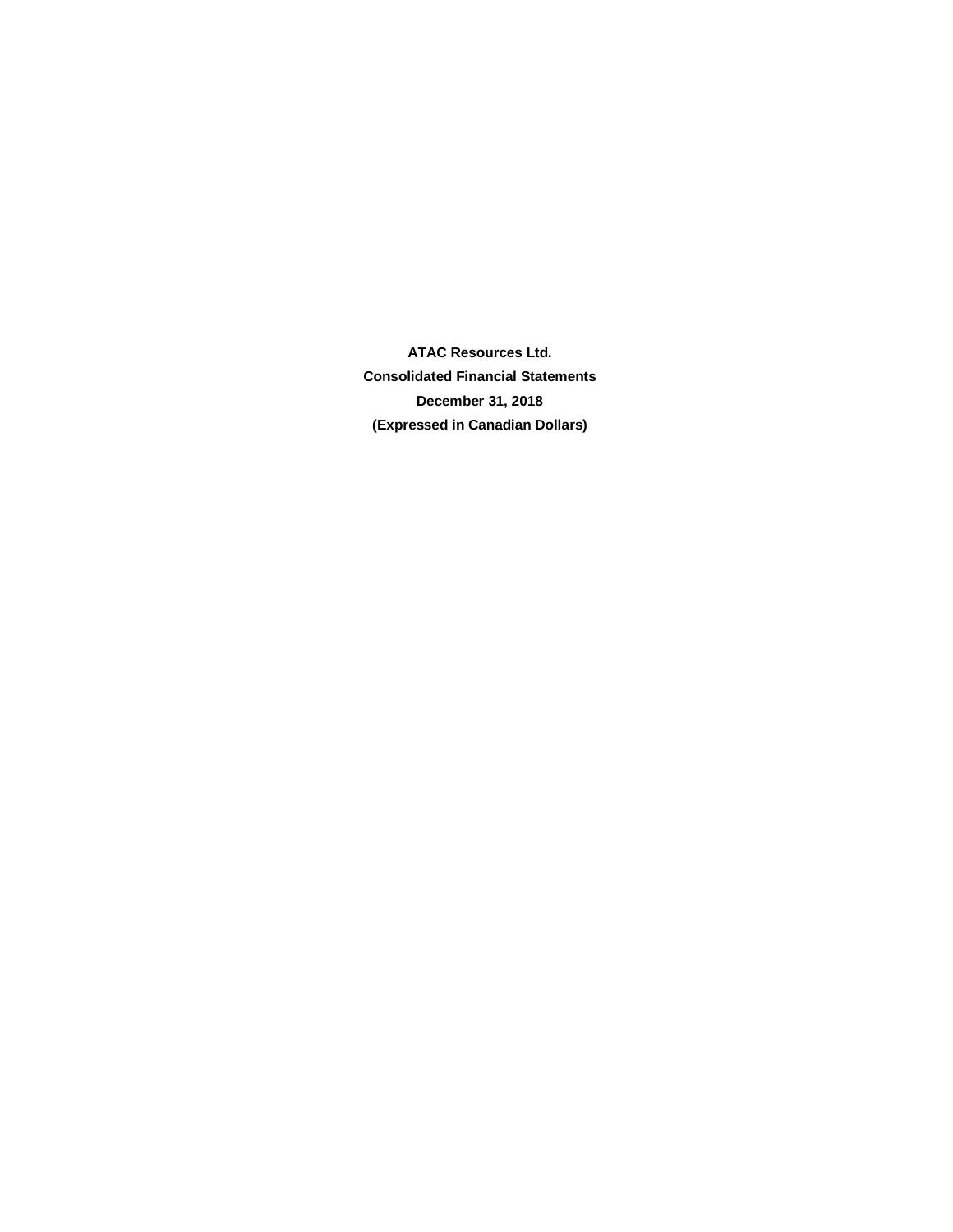**ATAC Resources Ltd. Consolidated Financial Statements December 31, 2018 (Expressed in Canadian Dollars)**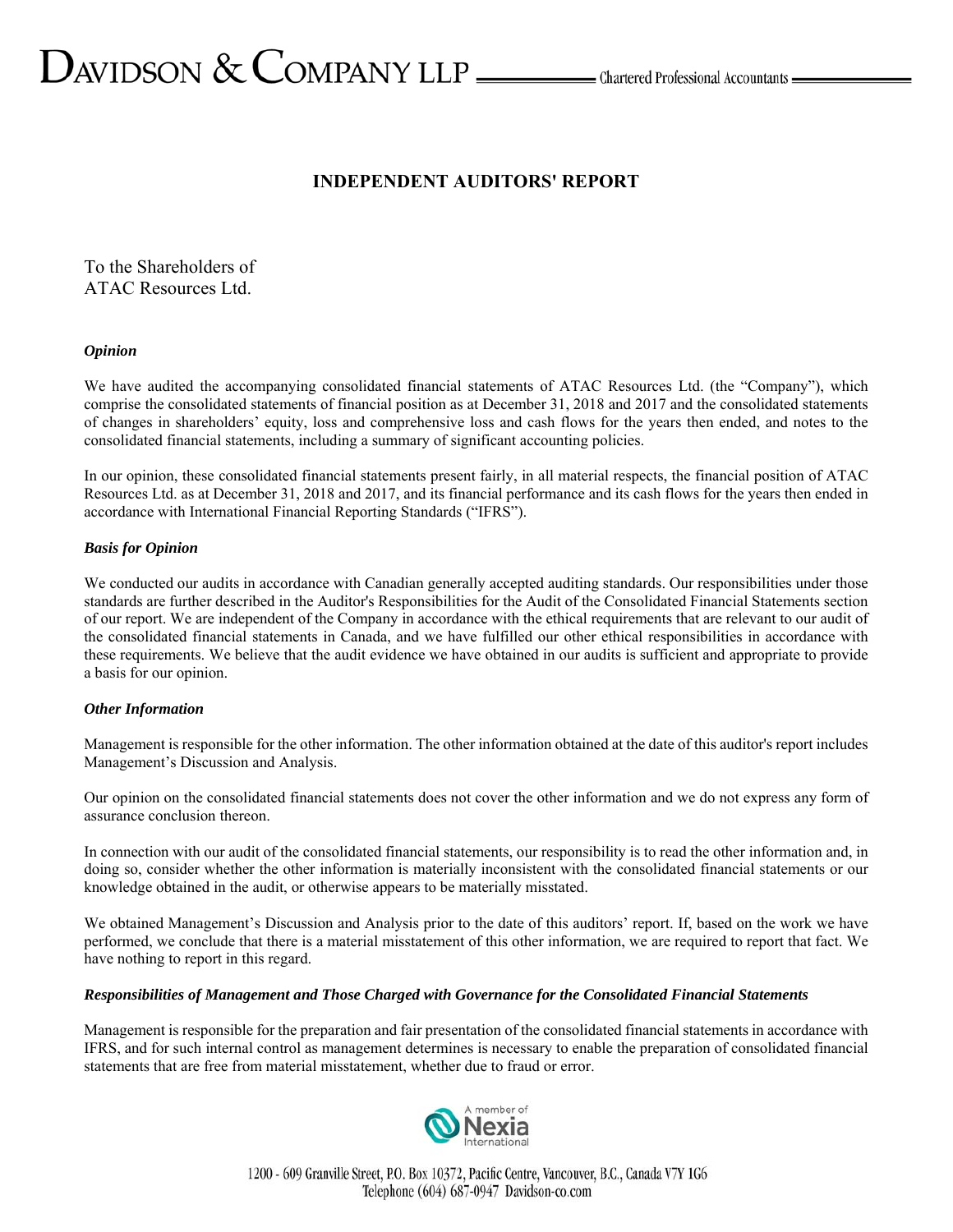# $D_{\text{AVIDSON}} \&$  COMPANY LLP  $\_\_\_\_\$ Chartered Professional Accountants  $\_\_\$

# **INDEPENDENT AUDITORS' REPORT**

To the Shareholders of ATAC Resources Ltd.

### *Opinion*

We have audited the accompanying consolidated financial statements of ATAC Resources Ltd. (the "Company"), which comprise the consolidated statements of financial position as at December 31, 2018 and 2017 and the consolidated statements of changes in shareholders' equity, loss and comprehensive loss and cash flows for the years then ended, and notes to the consolidated financial statements, including a summary of significant accounting policies.

In our opinion, these consolidated financial statements present fairly, in all material respects, the financial position of ATAC Resources Ltd. as at December 31, 2018 and 2017, and its financial performance and its cash flows for the years then ended in accordance with International Financial Reporting Standards ("IFRS").

### *Basis for Opinion*

We conducted our audits in accordance with Canadian generally accepted auditing standards. Our responsibilities under those standards are further described in the Auditor's Responsibilities for the Audit of the Consolidated Financial Statements section of our report. We are independent of the Company in accordance with the ethical requirements that are relevant to our audit of the consolidated financial statements in Canada, and we have fulfilled our other ethical responsibilities in accordance with these requirements. We believe that the audit evidence we have obtained in our audits is sufficient and appropriate to provide a basis for our opinion.

### *Other Information*

Management is responsible for the other information. The other information obtained at the date of this auditor's report includes Management's Discussion and Analysis.

Our opinion on the consolidated financial statements does not cover the other information and we do not express any form of assurance conclusion thereon.

In connection with our audit of the consolidated financial statements, our responsibility is to read the other information and, in doing so, consider whether the other information is materially inconsistent with the consolidated financial statements or our knowledge obtained in the audit, or otherwise appears to be materially misstated.

We obtained Management's Discussion and Analysis prior to the date of this auditors' report. If, based on the work we have performed, we conclude that there is a material misstatement of this other information, we are required to report that fact. We have nothing to report in this regard.

### *Responsibilities of Management and Those Charged with Governance for the Consolidated Financial Statements*

Management is responsible for the preparation and fair presentation of the consolidated financial statements in accordance with IFRS, and for such internal control as management determines is necessary to enable the preparation of consolidated financial statements that are free from material misstatement, whether due to fraud or error.

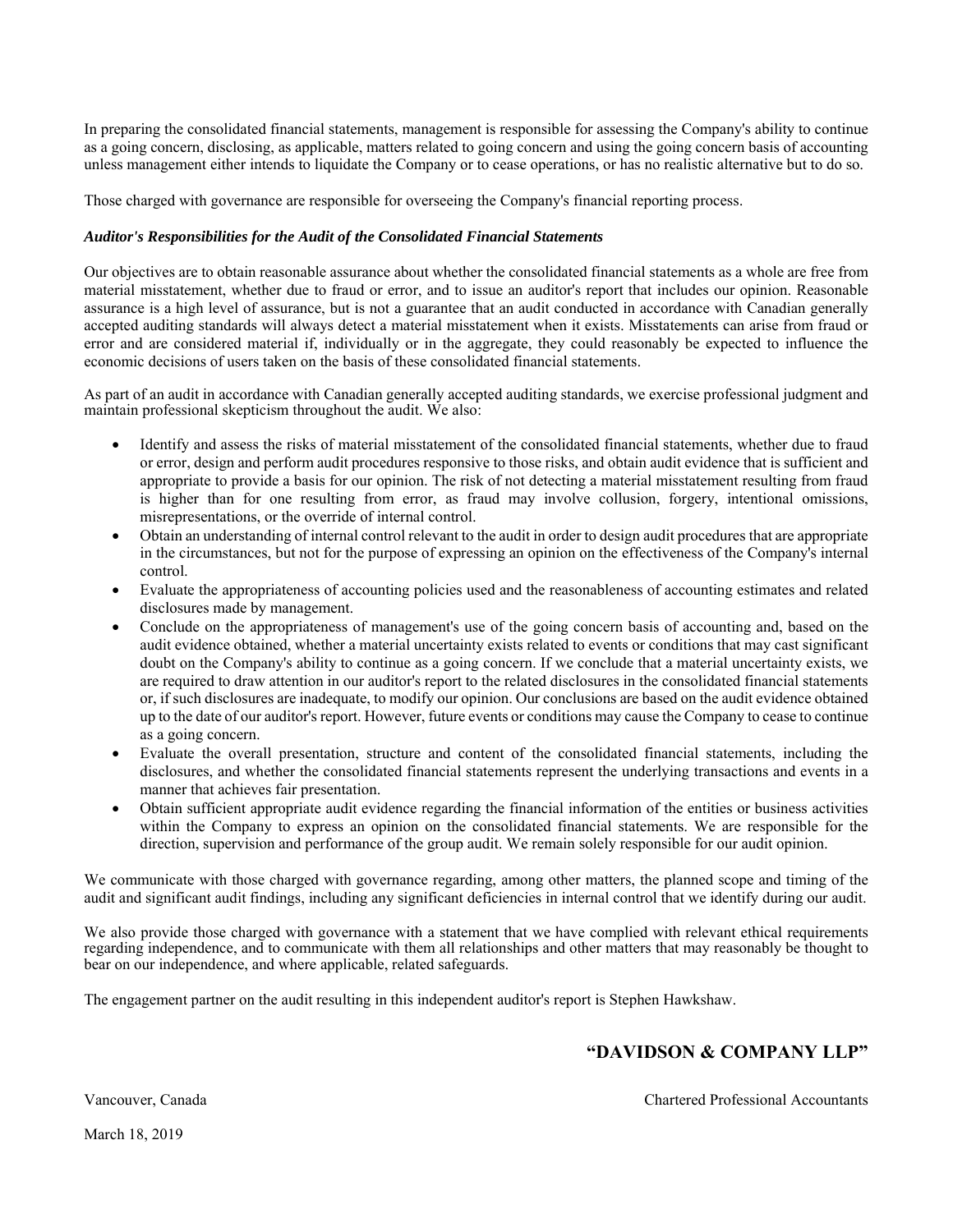In preparing the consolidated financial statements, management is responsible for assessing the Company's ability to continue as a going concern, disclosing, as applicable, matters related to going concern and using the going concern basis of accounting unless management either intends to liquidate the Company or to cease operations, or has no realistic alternative but to do so.

Those charged with governance are responsible for overseeing the Company's financial reporting process.

### *Auditor's Responsibilities for the Audit of the Consolidated Financial Statements*

Our objectives are to obtain reasonable assurance about whether the consolidated financial statements as a whole are free from material misstatement, whether due to fraud or error, and to issue an auditor's report that includes our opinion. Reasonable assurance is a high level of assurance, but is not a guarantee that an audit conducted in accordance with Canadian generally accepted auditing standards will always detect a material misstatement when it exists. Misstatements can arise from fraud or error and are considered material if, individually or in the aggregate, they could reasonably be expected to influence the economic decisions of users taken on the basis of these consolidated financial statements.

As part of an audit in accordance with Canadian generally accepted auditing standards, we exercise professional judgment and maintain professional skepticism throughout the audit. We also:

- Identify and assess the risks of material misstatement of the consolidated financial statements, whether due to fraud or error, design and perform audit procedures responsive to those risks, and obtain audit evidence that is sufficient and appropriate to provide a basis for our opinion. The risk of not detecting a material misstatement resulting from fraud is higher than for one resulting from error, as fraud may involve collusion, forgery, intentional omissions, misrepresentations, or the override of internal control.
- Obtain an understanding of internal control relevant to the audit in order to design audit procedures that are appropriate in the circumstances, but not for the purpose of expressing an opinion on the effectiveness of the Company's internal control.
- Evaluate the appropriateness of accounting policies used and the reasonableness of accounting estimates and related disclosures made by management.
- Conclude on the appropriateness of management's use of the going concern basis of accounting and, based on the audit evidence obtained, whether a material uncertainty exists related to events or conditions that may cast significant doubt on the Company's ability to continue as a going concern. If we conclude that a material uncertainty exists, we are required to draw attention in our auditor's report to the related disclosures in the consolidated financial statements or, if such disclosures are inadequate, to modify our opinion. Our conclusions are based on the audit evidence obtained up to the date of our auditor's report. However, future events or conditions may cause the Company to cease to continue as a going concern.
- Evaluate the overall presentation, structure and content of the consolidated financial statements, including the disclosures, and whether the consolidated financial statements represent the underlying transactions and events in a manner that achieves fair presentation.
- Obtain sufficient appropriate audit evidence regarding the financial information of the entities or business activities within the Company to express an opinion on the consolidated financial statements. We are responsible for the direction, supervision and performance of the group audit. We remain solely responsible for our audit opinion.

We communicate with those charged with governance regarding, among other matters, the planned scope and timing of the audit and significant audit findings, including any significant deficiencies in internal control that we identify during our audit.

We also provide those charged with governance with a statement that we have complied with relevant ethical requirements regarding independence, and to communicate with them all relationships and other matters that may reasonably be thought to bear on our independence, and where applicable, related safeguards.

The engagement partner on the audit resulting in this independent auditor's report is Stephen Hawkshaw.

# **"DAVIDSON & COMPANY LLP"**

### Vancouver, Canada Chartered Professional Accountants

March 18, 2019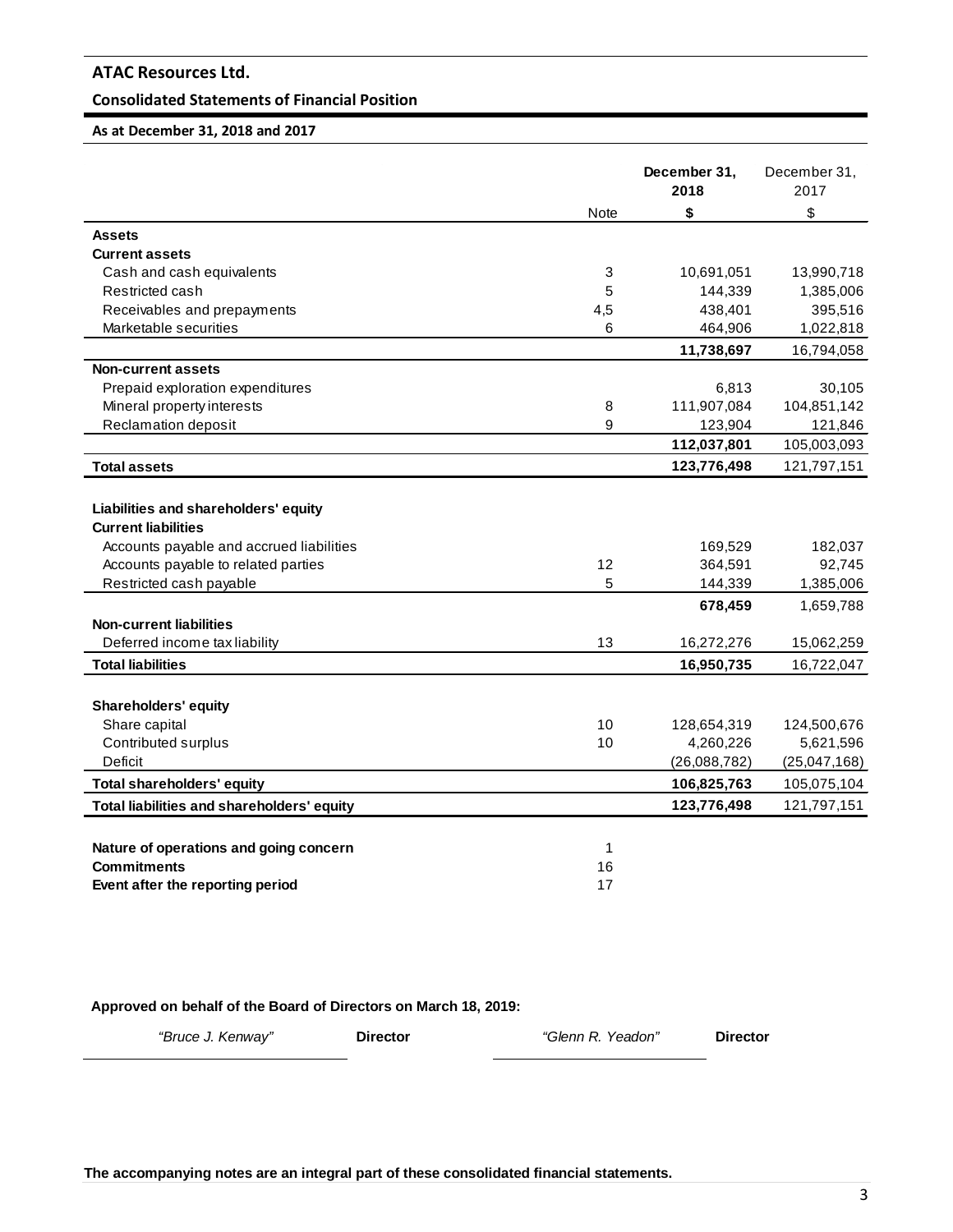# **Consolidated Statements of Financial Position**

# **As at December 31, 2018 and 2017**

|                                            |             | December 31,<br>2018 | December 31,<br>2017 |
|--------------------------------------------|-------------|----------------------|----------------------|
|                                            | <b>Note</b> | \$                   | \$                   |
| <b>Assets</b>                              |             |                      |                      |
| <b>Current assets</b>                      |             |                      |                      |
| Cash and cash equivalents                  | 3           | 10,691,051           | 13,990,718           |
| Restricted cash                            | 5           | 144,339              | 1,385,006            |
| Receivables and prepayments                | 4,5         | 438,401              | 395,516              |
| Marketable securities                      | 6           | 464,906              | 1,022,818            |
|                                            |             | 11,738,697           | 16,794,058           |
| <b>Non-current assets</b>                  |             |                      |                      |
| Prepaid exploration expenditures           |             | 6,813                | 30,105               |
| Mineral property interests                 | 8           | 111,907,084          | 104,851,142          |
| <b>Reclamation deposit</b>                 | 9           | 123,904              | 121,846              |
|                                            |             | 112,037,801          | 105,003,093          |
| <b>Total assets</b>                        |             | 123,776,498          | 121,797,151          |
|                                            |             |                      |                      |
| Liabilities and shareholders' equity       |             |                      |                      |
| <b>Current liabilities</b>                 |             |                      |                      |
| Accounts payable and accrued liabilities   |             | 169,529              | 182,037              |
| Accounts payable to related parties        | 12          | 364,591              | 92,745               |
| Restricted cash payable                    | 5           | 144,339              | 1,385,006            |
|                                            |             | 678,459              | 1,659,788            |
| <b>Non-current liabilities</b>             |             |                      |                      |
| Deferred income tax liability              | 13          | 16,272,276           | 15,062,259           |
| <b>Total liabilities</b>                   |             | 16,950,735           | 16,722,047           |
|                                            |             |                      |                      |
| <b>Shareholders' equity</b>                |             |                      |                      |
| Share capital                              | 10          | 128,654,319          | 124,500,676          |
| Contributed surplus                        | 10          | 4,260,226            | 5,621,596            |
| Deficit                                    |             | (26,088,782)         | (25,047,168)         |
| <b>Total shareholders' equity</b>          |             | 106,825,763          | 105,075,104          |
| Total liabilities and shareholders' equity |             | 123,776,498          | 121,797,151          |
|                                            |             |                      |                      |
| Nature of operations and going concern     | 1           |                      |                      |
| <b>Commitments</b>                         | 16          |                      |                      |
| Event after the reporting period           | 17          |                      |                      |
|                                            |             |                      |                      |

**Approved on behalf of the Board of Directors on March 18, 2019:**

*"Bruce J. Kenway"* **Director** *"Glenn R. Yeadon"* **Director**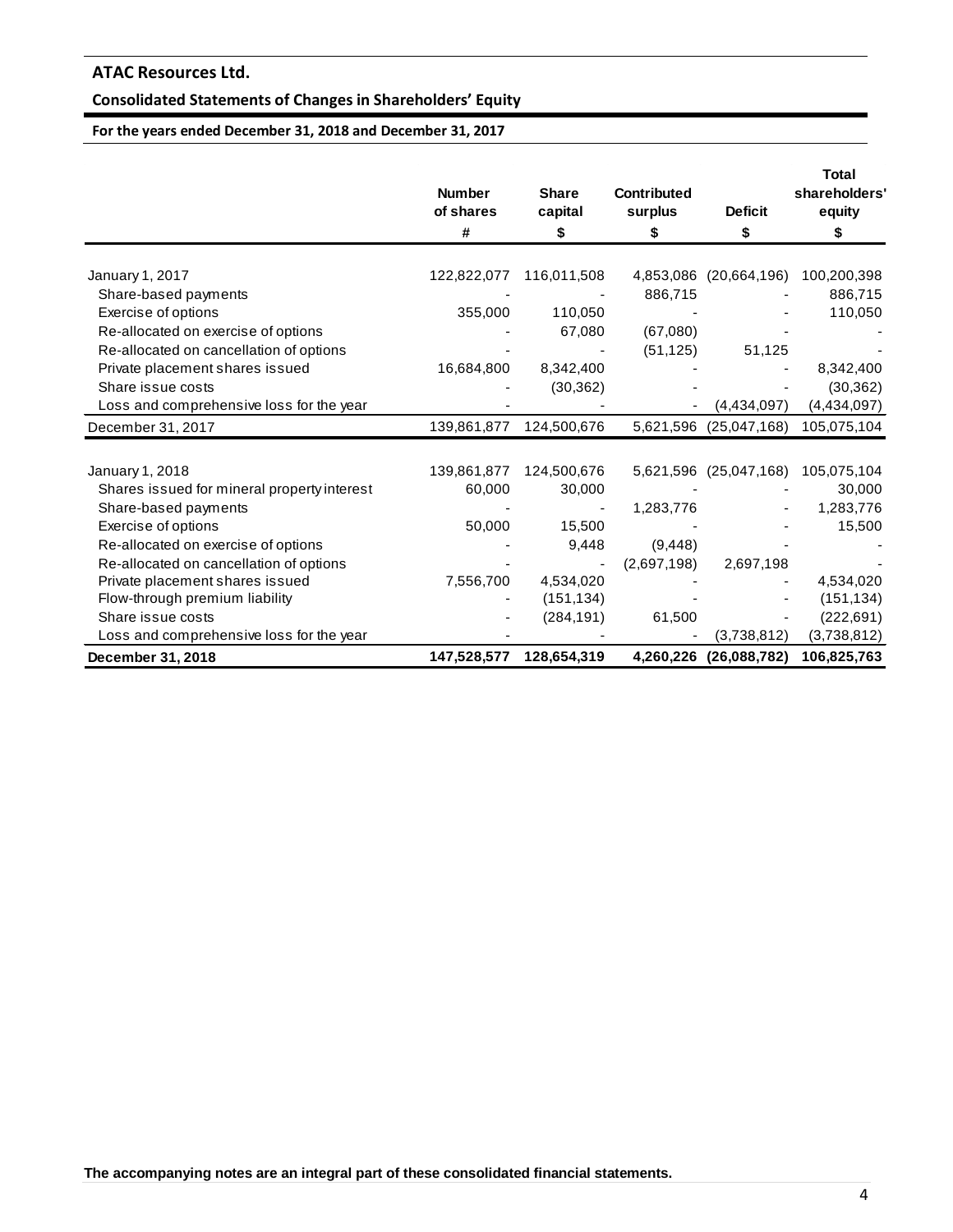# **Consolidated Statements of Changes in Shareholders' Equity**

**For the years ended December 31, 2018 and December 31, 2017**

|                                             | <b>Number</b><br>of shares<br># | <b>Share</b><br>capital<br>\$ | <b>Contributed</b><br>surplus<br>\$ | <b>Deficit</b><br>\$   | <b>Total</b><br>shareholders'<br>equity<br>\$ |
|---------------------------------------------|---------------------------------|-------------------------------|-------------------------------------|------------------------|-----------------------------------------------|
| January 1, 2017                             | 122,822,077                     | 116,011,508                   | 4,853,086                           | (20,664,196)           | 100,200,398                                   |
| Share-based payments                        |                                 |                               | 886,715                             |                        | 886,715                                       |
| Exercise of options                         | 355,000                         | 110,050                       |                                     |                        | 110,050                                       |
| Re-allocated on exercise of options         |                                 | 67,080                        | (67,080)                            |                        |                                               |
| Re-allocated on cancellation of options     |                                 |                               | (51, 125)                           | 51,125                 |                                               |
| Private placement shares issued             | 16,684,800                      | 8,342,400                     |                                     |                        | 8,342,400                                     |
| Share issue costs                           |                                 | (30, 362)                     |                                     |                        | (30, 362)                                     |
| Loss and comprehensive loss for the year    |                                 |                               |                                     | (4,434,097)            | (4,434,097)                                   |
| December 31, 2017                           | 139,861,877                     | 124,500,676                   |                                     | 5,621,596 (25,047,168) | 105,075,104                                   |
|                                             |                                 |                               |                                     |                        |                                               |
| January 1, 2018                             | 139,861,877                     | 124,500,676                   | 5,621,596                           | (25,047,168)           | 105,075,104                                   |
| Shares issued for mineral property interest | 60,000                          | 30,000                        |                                     |                        | 30,000                                        |
| Share-based payments                        |                                 |                               | 1,283,776                           |                        | 1,283,776                                     |
| Exercise of options                         | 50,000                          | 15,500                        |                                     |                        | 15,500                                        |
| Re-allocated on exercise of options         |                                 | 9,448                         | (9, 448)                            |                        |                                               |
| Re-allocated on cancellation of options     |                                 |                               | (2,697,198)                         | 2,697,198              |                                               |
| Private placement shares issued             | 7,556,700                       | 4,534,020                     |                                     |                        | 4,534,020                                     |
| Flow-through premium liability              |                                 | (151, 134)                    |                                     |                        | (151, 134)                                    |
| Share issue costs                           |                                 | (284, 191)                    | 61,500                              |                        | (222, 691)                                    |
| Loss and comprehensive loss for the year    |                                 |                               |                                     | (3,738,812)            | (3,738,812)                                   |
| December 31, 2018                           | 147,528,577                     | 128,654,319                   | 4,260,226                           | (26,088,782)           | 106,825,763                                   |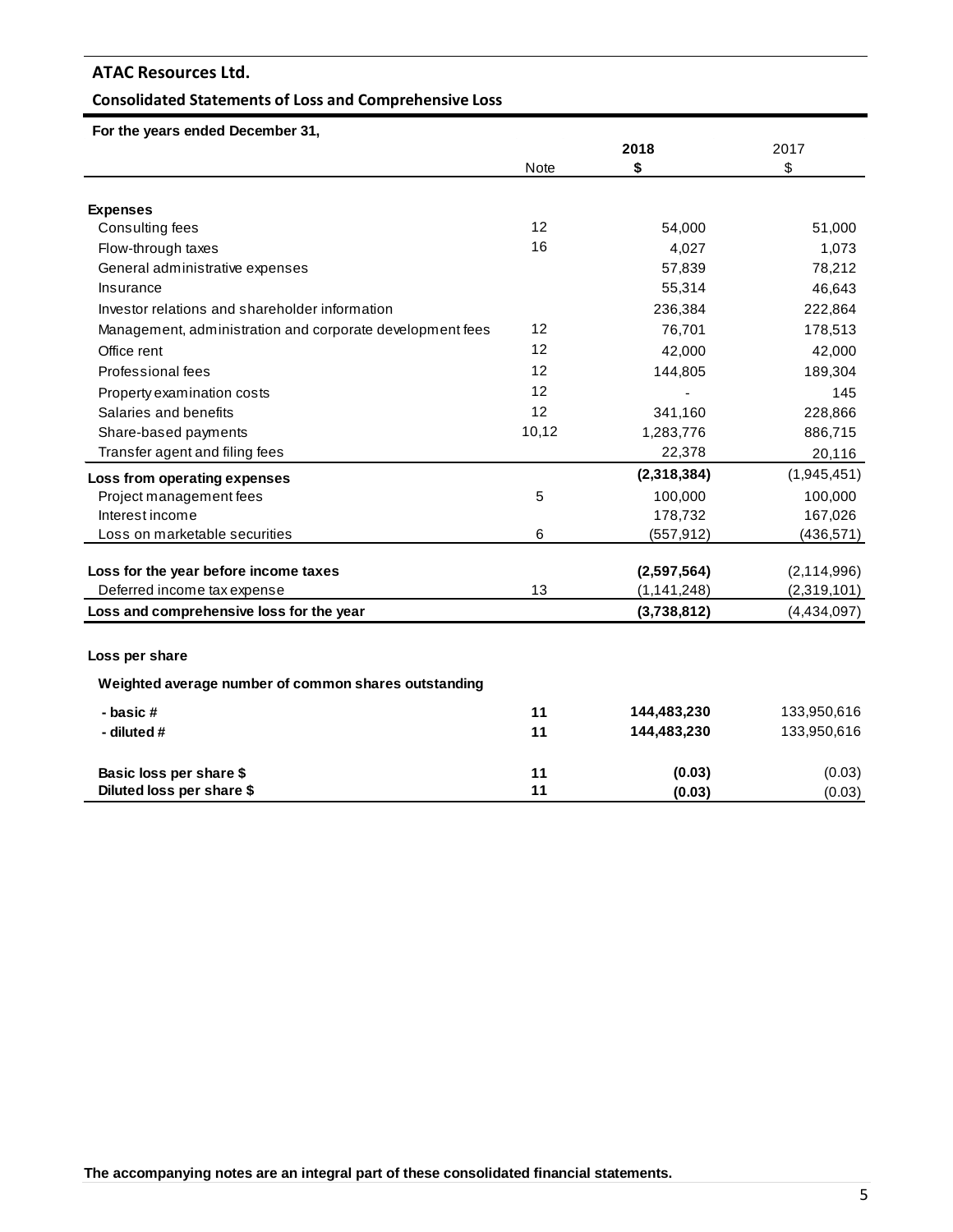# **Consolidated Statements of Loss and Comprehensive Loss**

| For the years ended December 31,                          |       |               |               |
|-----------------------------------------------------------|-------|---------------|---------------|
|                                                           |       | 2018          | 2017          |
|                                                           | Note  | \$            | \$            |
|                                                           |       |               |               |
| <b>Expenses</b>                                           |       |               |               |
| Consulting fees                                           | 12    | 54,000        | 51,000        |
| Flow-through taxes                                        | 16    | 4,027         | 1,073         |
| General administrative expenses                           |       | 57,839        | 78,212        |
| Insurance                                                 |       | 55,314        | 46,643        |
| Investor relations and shareholder information            |       | 236,384       | 222,864       |
| Management, administration and corporate development fees | 12    | 76,701        | 178,513       |
| Office rent                                               | 12    | 42,000        | 42,000        |
| <b>Professional fees</b>                                  | 12    | 144,805       | 189,304       |
| Property examination costs                                | 12    |               | 145           |
| Salaries and benefits                                     | 12    | 341,160       | 228,866       |
| Share-based payments                                      | 10,12 | 1,283,776     | 886,715       |
| Transfer agent and filing fees                            |       | 22,378        | 20,116        |
| Loss from operating expenses                              |       | (2,318,384)   | (1,945,451)   |
| Project management fees                                   | 5     | 100,000       | 100,000       |
| Interest income                                           |       | 178,732       | 167,026       |
| Loss on marketable securities                             | 6     | (557, 912)    | (436, 571)    |
| Loss for the year before income taxes                     |       | (2,597,564)   | (2, 114, 996) |
| Deferred income tax expense                               | 13    | (1, 141, 248) | (2,319,101)   |
| Loss and comprehensive loss for the year                  |       | (3,738,812)   | (4,434,097)   |
|                                                           |       |               |               |
| Loss per share                                            |       |               |               |
| Weighted average number of common shares outstanding      |       |               |               |
| - basic#                                                  | 11    | 144,483,230   | 133,950,616   |
| - diluted #                                               | 11    | 144,483,230   | 133,950,616   |
| Basic loss per share \$                                   | 11    | (0.03)        | (0.03)        |
| Diluted loss per share \$                                 | 11    | (0.03)        | (0.03)        |

**The accompanying notes are an integral part of these consolidated financial statements.**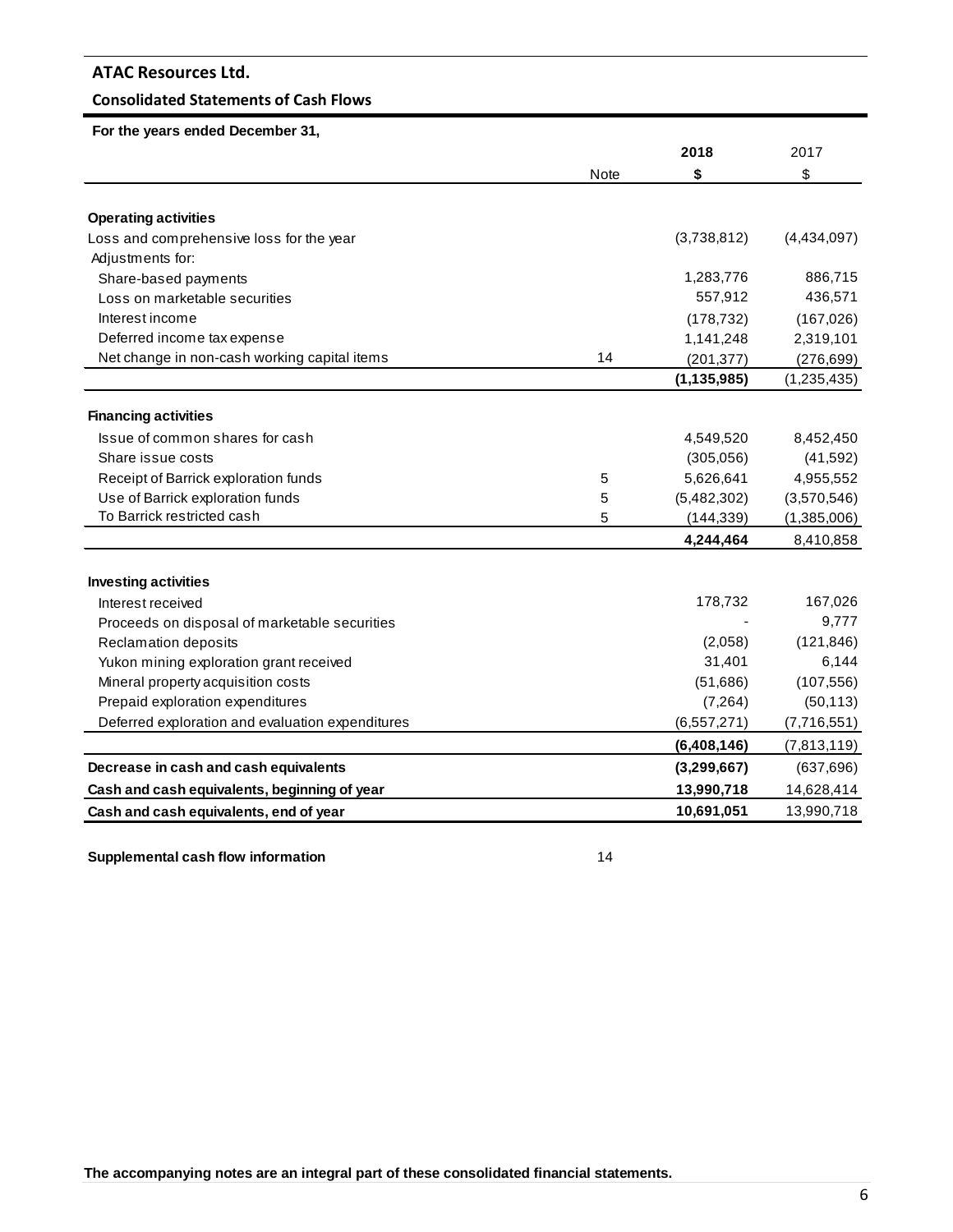**Consolidated Statements of Cash Flows**

| For the years ended December 31,                                                      |             |                           |                          |
|---------------------------------------------------------------------------------------|-------------|---------------------------|--------------------------|
|                                                                                       |             | 2018                      | 2017                     |
|                                                                                       | <b>Note</b> | \$                        | \$                       |
|                                                                                       |             |                           |                          |
| <b>Operating activities</b>                                                           |             |                           |                          |
| Loss and comprehensive loss for the year                                              |             | (3,738,812)               | (4,434,097)              |
| Adjustments for:                                                                      |             |                           |                          |
| Share-based payments                                                                  |             | 1,283,776                 | 886,715                  |
| Loss on marketable securities                                                         |             | 557,912                   | 436,571                  |
| Interest income                                                                       |             | (178, 732)                | (167, 026)               |
| Deferred income tax expense                                                           |             | 1,141,248                 | 2,319,101                |
| Net change in non-cash working capital items                                          | 14          | (201, 377)                | (276, 699)               |
|                                                                                       |             | (1, 135, 985)             | (1, 235, 435)            |
|                                                                                       |             |                           |                          |
| <b>Financing activities</b>                                                           |             |                           |                          |
| Issue of common shares for cash                                                       |             | 4,549,520                 | 8,452,450                |
| Share issue costs                                                                     |             | (305,056)                 | (41, 592)                |
| Receipt of Barrick exploration funds                                                  | 5           | 5,626,641                 | 4,955,552                |
| Use of Barrick exploration funds                                                      | 5           | (5,482,302)               | (3,570,546)              |
| To Barrick restricted cash                                                            | 5           | (144, 339)                | (1,385,006)              |
|                                                                                       |             | 4,244,464                 | 8,410,858                |
| <b>Investing activities</b>                                                           |             |                           |                          |
| Interest received                                                                     |             | 178,732                   | 167,026                  |
| Proceeds on disposal of marketable securities                                         |             |                           | 9,777                    |
| <b>Reclamation deposits</b>                                                           |             | (2,058)                   | (121, 846)               |
| Yukon mining exploration grant received                                               |             | 31,401                    | 6,144                    |
| Mineral property acquisition costs                                                    |             | (51,686)                  | (107, 556)               |
| Prepaid exploration expenditures                                                      |             | (7, 264)                  | (50, 113)                |
| Deferred exploration and evaluation expenditures                                      |             | (6, 557, 271)             | (7,716,551)              |
|                                                                                       |             |                           |                          |
|                                                                                       |             | (6,408,146)               | (7,813,119)              |
| Decrease in cash and cash equivalents<br>Cash and cash equivalents, beginning of year |             | (3,299,667)<br>13,990,718 | (637, 696)<br>14,628,414 |
|                                                                                       |             | 10,691,051                | 13,990,718               |
| Cash and cash equivalents, end of year                                                |             |                           |                          |

**Supplemental cash flow information** 14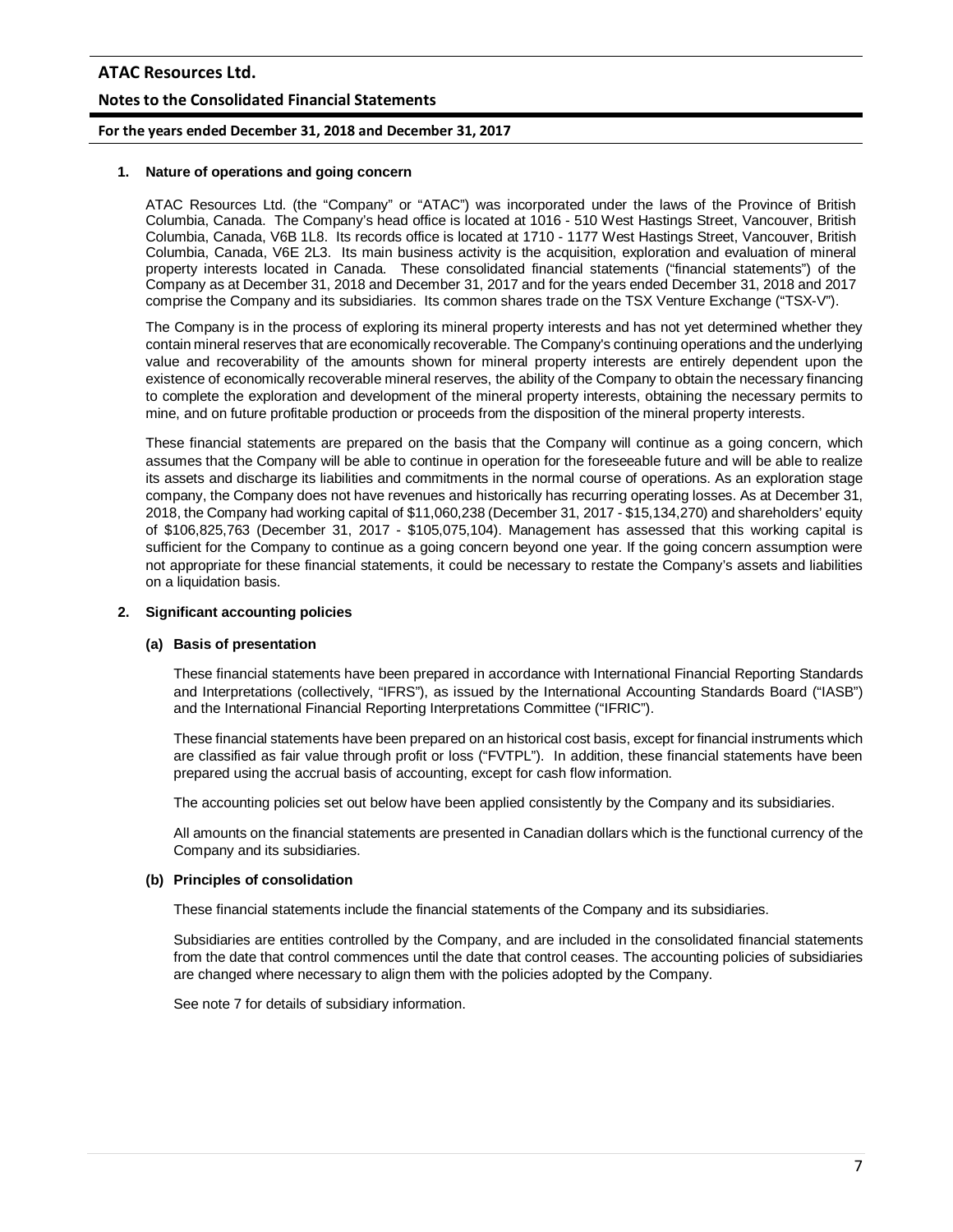### **Notes to the Consolidated Financial Statements**

### **For the years ended December 31, 2018 and December 31, 2017**

### **1. Nature of operations and going concern**

ATAC Resources Ltd. (the "Company" or "ATAC") was incorporated under the laws of the Province of British Columbia, Canada. The Company's head office is located at 1016 - 510 West Hastings Street, Vancouver, British Columbia, Canada, V6B 1L8. Its records office is located at 1710 - 1177 West Hastings Street, Vancouver, British Columbia, Canada, V6E 2L3. Its main business activity is the acquisition, exploration and evaluation of mineral property interests located in Canada. These consolidated financial statements ("financial statements") of the Company as at December 31, 2018 and December 31, 2017 and for the years ended December 31, 2018 and 2017 comprise the Company and its subsidiaries. Its common shares trade on the TSX Venture Exchange ("TSX-V").

The Company is in the process of exploring its mineral property interests and has not yet determined whether they contain mineral reserves that are economically recoverable. The Company's continuing operations and the underlying value and recoverability of the amounts shown for mineral property interests are entirely dependent upon the existence of economically recoverable mineral reserves, the ability of the Company to obtain the necessary financing to complete the exploration and development of the mineral property interests, obtaining the necessary permits to mine, and on future profitable production or proceeds from the disposition of the mineral property interests.

These financial statements are prepared on the basis that the Company will continue as a going concern, which assumes that the Company will be able to continue in operation for the foreseeable future and will be able to realize its assets and discharge its liabilities and commitments in the normal course of operations. As an exploration stage company, the Company does not have revenues and historically has recurring operating losses. As at December 31, 2018, the Company had working capital of \$11,060,238 (December 31, 2017 - \$15,134,270) and shareholders' equity of \$106,825,763 (December 31, 2017 - \$105,075,104). Management has assessed that this working capital is sufficient for the Company to continue as a going concern beyond one year. If the going concern assumption were not appropriate for these financial statements, it could be necessary to restate the Company's assets and liabilities on a liquidation basis.

### **2. Significant accounting policies**

### **(a) Basis of presentation**

These financial statements have been prepared in accordance with International Financial Reporting Standards and Interpretations (collectively, "IFRS"), as issued by the International Accounting Standards Board ("IASB") and the International Financial Reporting Interpretations Committee ("IFRIC").

These financial statements have been prepared on an historical cost basis, except for financial instruments which are classified as fair value through profit or loss ("FVTPL"). In addition, these financial statements have been prepared using the accrual basis of accounting, except for cash flow information.

The accounting policies set out below have been applied consistently by the Company and its subsidiaries.

All amounts on the financial statements are presented in Canadian dollars which is the functional currency of the Company and its subsidiaries.

### **(b) Principles of consolidation**

These financial statements include the financial statements of the Company and its subsidiaries.

Subsidiaries are entities controlled by the Company, and are included in the consolidated financial statements from the date that control commences until the date that control ceases. The accounting policies of subsidiaries are changed where necessary to align them with the policies adopted by the Company.

See note 7 for details of subsidiary information.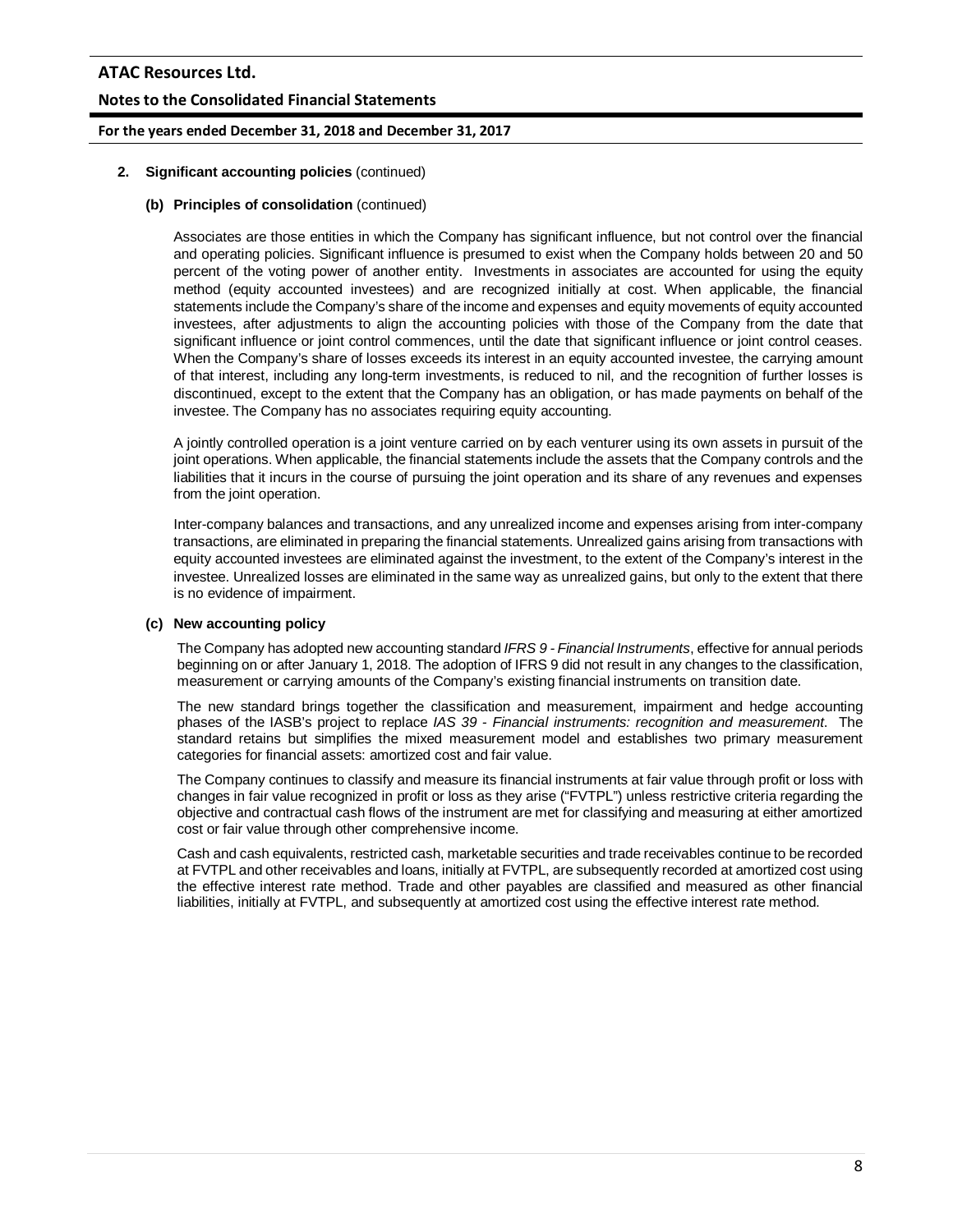### **Notes to the Consolidated Financial Statements**

### **For the years ended December 31, 2018 and December 31, 2017**

### **2. Significant accounting policies** (continued)

### **(b) Principles of consolidation** (continued)

Associates are those entities in which the Company has significant influence, but not control over the financial and operating policies. Significant influence is presumed to exist when the Company holds between 20 and 50 percent of the voting power of another entity. Investments in associates are accounted for using the equity method (equity accounted investees) and are recognized initially at cost. When applicable, the financial statements include the Company's share of the income and expenses and equity movements of equity accounted investees, after adjustments to align the accounting policies with those of the Company from the date that significant influence or joint control commences, until the date that significant influence or joint control ceases. When the Company's share of losses exceeds its interest in an equity accounted investee, the carrying amount of that interest, including any long-term investments, is reduced to nil, and the recognition of further losses is discontinued, except to the extent that the Company has an obligation, or has made payments on behalf of the investee. The Company has no associates requiring equity accounting.

A jointly controlled operation is a joint venture carried on by each venturer using its own assets in pursuit of the joint operations. When applicable, the financial statements include the assets that the Company controls and the liabilities that it incurs in the course of pursuing the joint operation and its share of any revenues and expenses from the joint operation.

Inter-company balances and transactions, and any unrealized income and expenses arising from inter-company transactions, are eliminated in preparing the financial statements. Unrealized gains arising from transactions with equity accounted investees are eliminated against the investment, to the extent of the Company's interest in the investee. Unrealized losses are eliminated in the same way as unrealized gains, but only to the extent that there is no evidence of impairment.

### **(c) New accounting policy**

The Company has adopted new accounting standard *IFRS 9 - Financial Instruments*, effective for annual periods beginning on or after January 1, 2018. The adoption of IFRS 9 did not result in any changes to the classification, measurement or carrying amounts of the Company's existing financial instruments on transition date.

The new standard brings together the classification and measurement, impairment and hedge accounting phases of the IASB's project to replace *IAS 39 - Financial instruments: recognition and measurement*. The standard retains but simplifies the mixed measurement model and establishes two primary measurement categories for financial assets: amortized cost and fair value.

The Company continues to classify and measure its financial instruments at fair value through profit or loss with changes in fair value recognized in profit or loss as they arise ("FVTPL") unless restrictive criteria regarding the objective and contractual cash flows of the instrument are met for classifying and measuring at either amortized cost or fair value through other comprehensive income.

Cash and cash equivalents, restricted cash, marketable securities and trade receivables continue to be recorded at FVTPL and other receivables and loans, initially at FVTPL, are subsequently recorded at amortized cost using the effective interest rate method. Trade and other payables are classified and measured as other financial liabilities, initially at FVTPL, and subsequently at amortized cost using the effective interest rate method.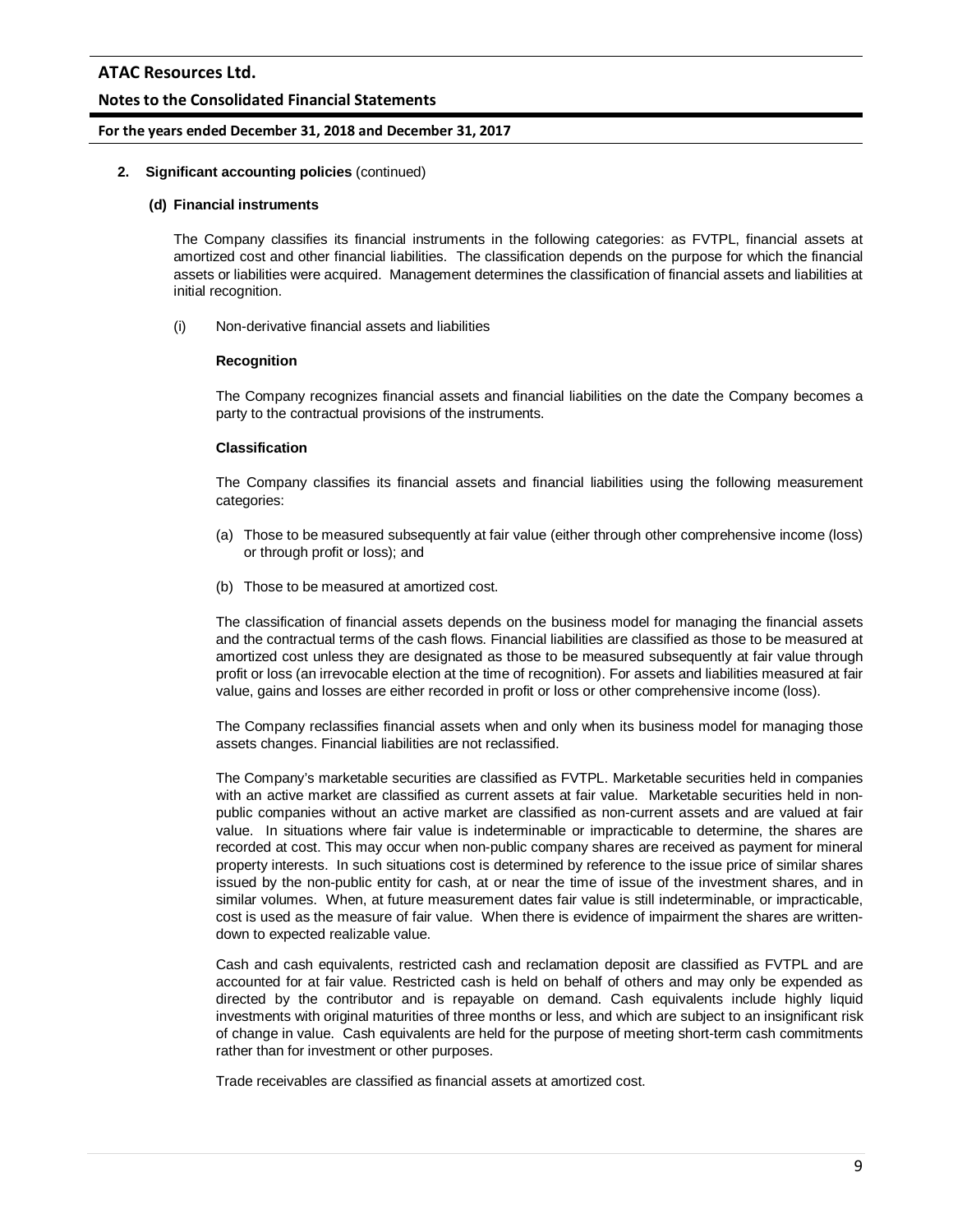### **Notes to the Consolidated Financial Statements**

### **For the years ended December 31, 2018 and December 31, 2017**

#### **2. Significant accounting policies** (continued)

### **(d) Financial instruments**

The Company classifies its financial instruments in the following categories: as FVTPL, financial assets at amortized cost and other financial liabilities. The classification depends on the purpose for which the financial assets or liabilities were acquired. Management determines the classification of financial assets and liabilities at initial recognition.

(i) Non-derivative financial assets and liabilities

### **Recognition**

The Company recognizes financial assets and financial liabilities on the date the Company becomes a party to the contractual provisions of the instruments.

### **Classification**

The Company classifies its financial assets and financial liabilities using the following measurement categories:

- (a) Those to be measured subsequently at fair value (either through other comprehensive income (loss) or through profit or loss); and
- (b) Those to be measured at amortized cost.

The classification of financial assets depends on the business model for managing the financial assets and the contractual terms of the cash flows. Financial liabilities are classified as those to be measured at amortized cost unless they are designated as those to be measured subsequently at fair value through profit or loss (an irrevocable election at the time of recognition). For assets and liabilities measured at fair value, gains and losses are either recorded in profit or loss or other comprehensive income (loss).

The Company reclassifies financial assets when and only when its business model for managing those assets changes. Financial liabilities are not reclassified.

The Company's marketable securities are classified as FVTPL. Marketable securities held in companies with an active market are classified as current assets at fair value. Marketable securities held in nonpublic companies without an active market are classified as non-current assets and are valued at fair value. In situations where fair value is indeterminable or impracticable to determine, the shares are recorded at cost. This may occur when non-public company shares are received as payment for mineral property interests. In such situations cost is determined by reference to the issue price of similar shares issued by the non-public entity for cash, at or near the time of issue of the investment shares, and in similar volumes. When, at future measurement dates fair value is still indeterminable, or impracticable, cost is used as the measure of fair value. When there is evidence of impairment the shares are writtendown to expected realizable value.

Cash and cash equivalents, restricted cash and reclamation deposit are classified as FVTPL and are accounted for at fair value. Restricted cash is held on behalf of others and may only be expended as directed by the contributor and is repayable on demand. Cash equivalents include highly liquid investments with original maturities of three months or less, and which are subject to an insignificant risk of change in value. Cash equivalents are held for the purpose of meeting short-term cash commitments rather than for investment or other purposes.

Trade receivables are classified as financial assets at amortized cost.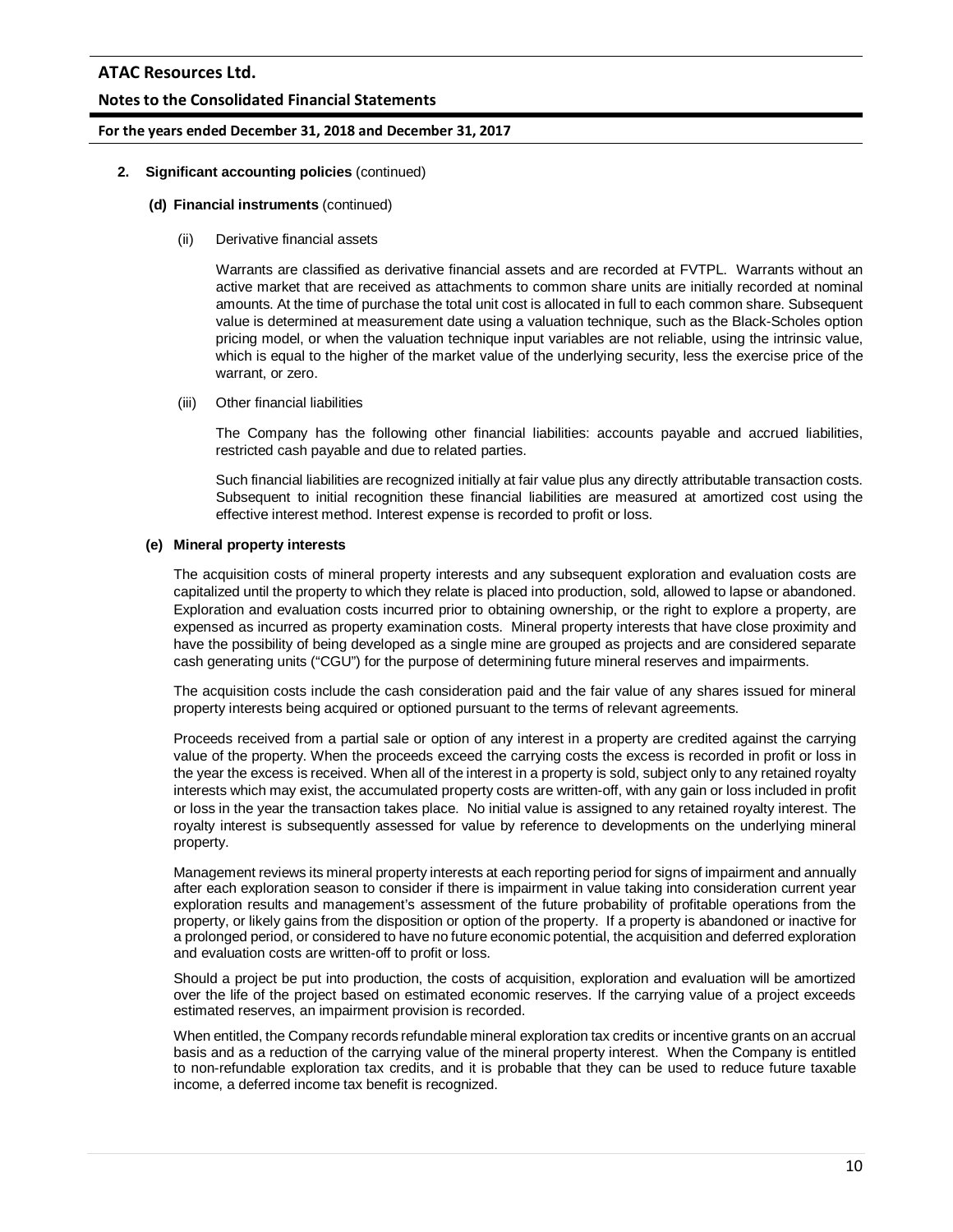### **Notes to the Consolidated Financial Statements**

### **For the years ended December 31, 2018 and December 31, 2017**

### **2. Significant accounting policies** (continued)

### **(d) Financial instruments** (continued)

(ii) Derivative financial assets

Warrants are classified as derivative financial assets and are recorded at FVTPL. Warrants without an active market that are received as attachments to common share units are initially recorded at nominal amounts. At the time of purchase the total unit cost is allocated in full to each common share. Subsequent value is determined at measurement date using a valuation technique, such as the Black-Scholes option pricing model, or when the valuation technique input variables are not reliable, using the intrinsic value, which is equal to the higher of the market value of the underlying security, less the exercise price of the warrant, or zero.

(iii) Other financial liabilities

The Company has the following other financial liabilities: accounts payable and accrued liabilities, restricted cash payable and due to related parties.

Such financial liabilities are recognized initially at fair value plus any directly attributable transaction costs. Subsequent to initial recognition these financial liabilities are measured at amortized cost using the effective interest method. Interest expense is recorded to profit or loss.

### **(e) Mineral property interests**

The acquisition costs of mineral property interests and any subsequent exploration and evaluation costs are capitalized until the property to which they relate is placed into production, sold, allowed to lapse or abandoned. Exploration and evaluation costs incurred prior to obtaining ownership, or the right to explore a property, are expensed as incurred as property examination costs. Mineral property interests that have close proximity and have the possibility of being developed as a single mine are grouped as projects and are considered separate cash generating units ("CGU") for the purpose of determining future mineral reserves and impairments.

The acquisition costs include the cash consideration paid and the fair value of any shares issued for mineral property interests being acquired or optioned pursuant to the terms of relevant agreements.

Proceeds received from a partial sale or option of any interest in a property are credited against the carrying value of the property. When the proceeds exceed the carrying costs the excess is recorded in profit or loss in the year the excess is received. When all of the interest in a property is sold, subject only to any retained royalty interests which may exist, the accumulated property costs are written-off, with any gain or loss included in profit or loss in the year the transaction takes place. No initial value is assigned to any retained royalty interest. The royalty interest is subsequently assessed for value by reference to developments on the underlying mineral property.

Management reviews its mineral property interests at each reporting period for signs of impairment and annually after each exploration season to consider if there is impairment in value taking into consideration current year exploration results and management's assessment of the future probability of profitable operations from the property, or likely gains from the disposition or option of the property. If a property is abandoned or inactive for a prolonged period, or considered to have no future economic potential, the acquisition and deferred exploration and evaluation costs are written-off to profit or loss.

Should a project be put into production, the costs of acquisition, exploration and evaluation will be amortized over the life of the project based on estimated economic reserves. If the carrying value of a project exceeds estimated reserves, an impairment provision is recorded.

When entitled, the Company records refundable mineral exploration tax credits or incentive grants on an accrual basis and as a reduction of the carrying value of the mineral property interest. When the Company is entitled to non-refundable exploration tax credits, and it is probable that they can be used to reduce future taxable income, a deferred income tax benefit is recognized.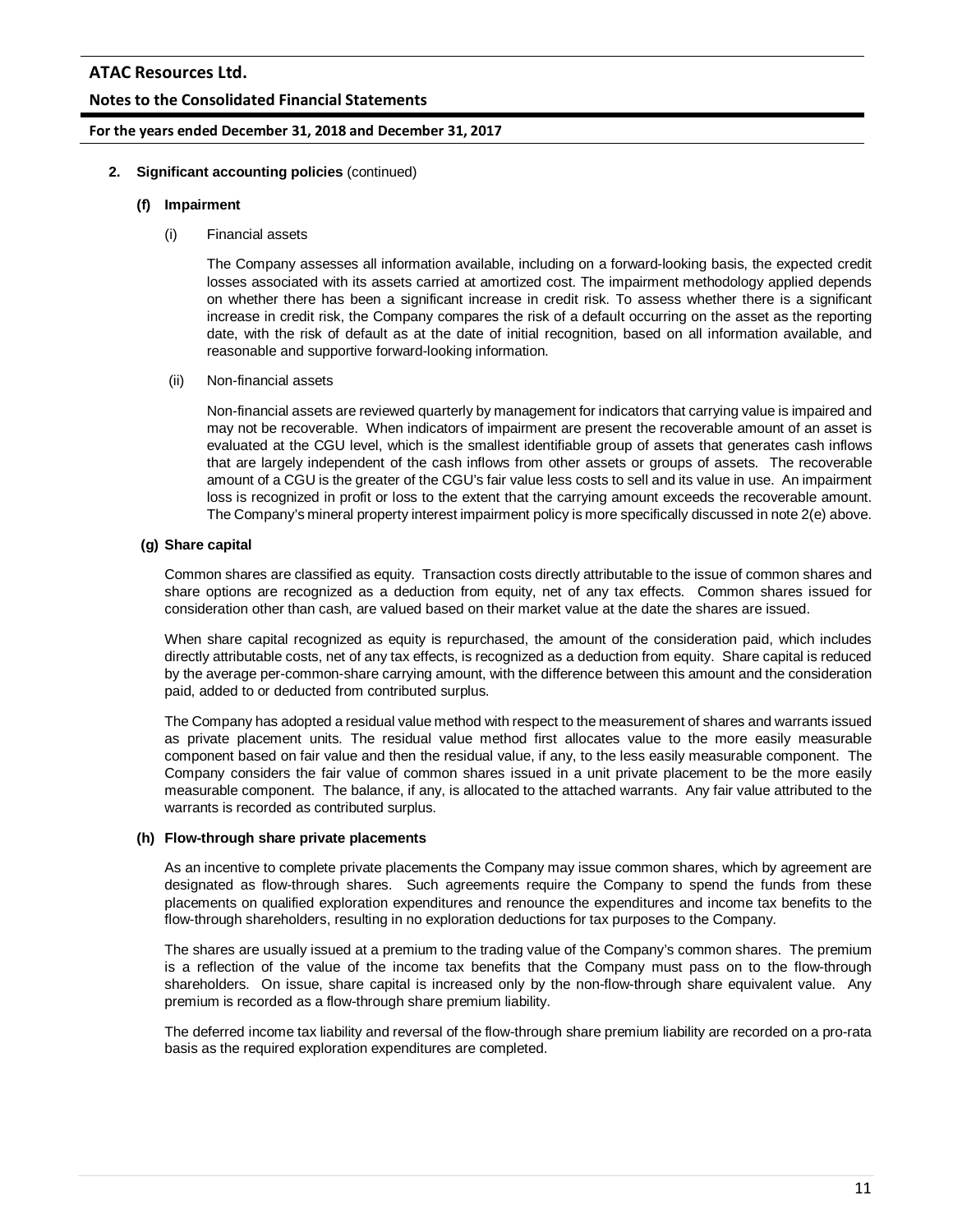### **Notes to the Consolidated Financial Statements**

### **For the years ended December 31, 2018 and December 31, 2017**

### **2. Significant accounting policies** (continued)

### **(f) Impairment**

### (i) Financial assets

The Company assesses all information available, including on a forward-looking basis, the expected credit losses associated with its assets carried at amortized cost. The impairment methodology applied depends on whether there has been a significant increase in credit risk. To assess whether there is a significant increase in credit risk, the Company compares the risk of a default occurring on the asset as the reporting date, with the risk of default as at the date of initial recognition, based on all information available, and reasonable and supportive forward-looking information.

(ii) Non-financial assets

Non-financial assets are reviewed quarterly by management for indicators that carrying value is impaired and may not be recoverable. When indicators of impairment are present the recoverable amount of an asset is evaluated at the CGU level, which is the smallest identifiable group of assets that generates cash inflows that are largely independent of the cash inflows from other assets or groups of assets. The recoverable amount of a CGU is the greater of the CGU's fair value less costs to sell and its value in use. An impairment loss is recognized in profit or loss to the extent that the carrying amount exceeds the recoverable amount. The Company's mineral property interest impairment policy is more specifically discussed in note 2(e) above.

### **(g) Share capital**

Common shares are classified as equity. Transaction costs directly attributable to the issue of common shares and share options are recognized as a deduction from equity, net of any tax effects. Common shares issued for consideration other than cash, are valued based on their market value at the date the shares are issued.

When share capital recognized as equity is repurchased, the amount of the consideration paid, which includes directly attributable costs, net of any tax effects, is recognized as a deduction from equity. Share capital is reduced by the average per-common-share carrying amount, with the difference between this amount and the consideration paid, added to or deducted from contributed surplus.

The Company has adopted a residual value method with respect to the measurement of shares and warrants issued as private placement units. The residual value method first allocates value to the more easily measurable component based on fair value and then the residual value, if any, to the less easily measurable component. The Company considers the fair value of common shares issued in a unit private placement to be the more easily measurable component. The balance, if any, is allocated to the attached warrants. Any fair value attributed to the warrants is recorded as contributed surplus.

#### **(h) Flow-through share private placements**

As an incentive to complete private placements the Company may issue common shares, which by agreement are designated as flow-through shares. Such agreements require the Company to spend the funds from these placements on qualified exploration expenditures and renounce the expenditures and income tax benefits to the flow-through shareholders, resulting in no exploration deductions for tax purposes to the Company.

The shares are usually issued at a premium to the trading value of the Company's common shares. The premium is a reflection of the value of the income tax benefits that the Company must pass on to the flow-through shareholders. On issue, share capital is increased only by the non-flow-through share equivalent value. Any premium is recorded as a flow-through share premium liability.

The deferred income tax liability and reversal of the flow-through share premium liability are recorded on a pro-rata basis as the required exploration expenditures are completed.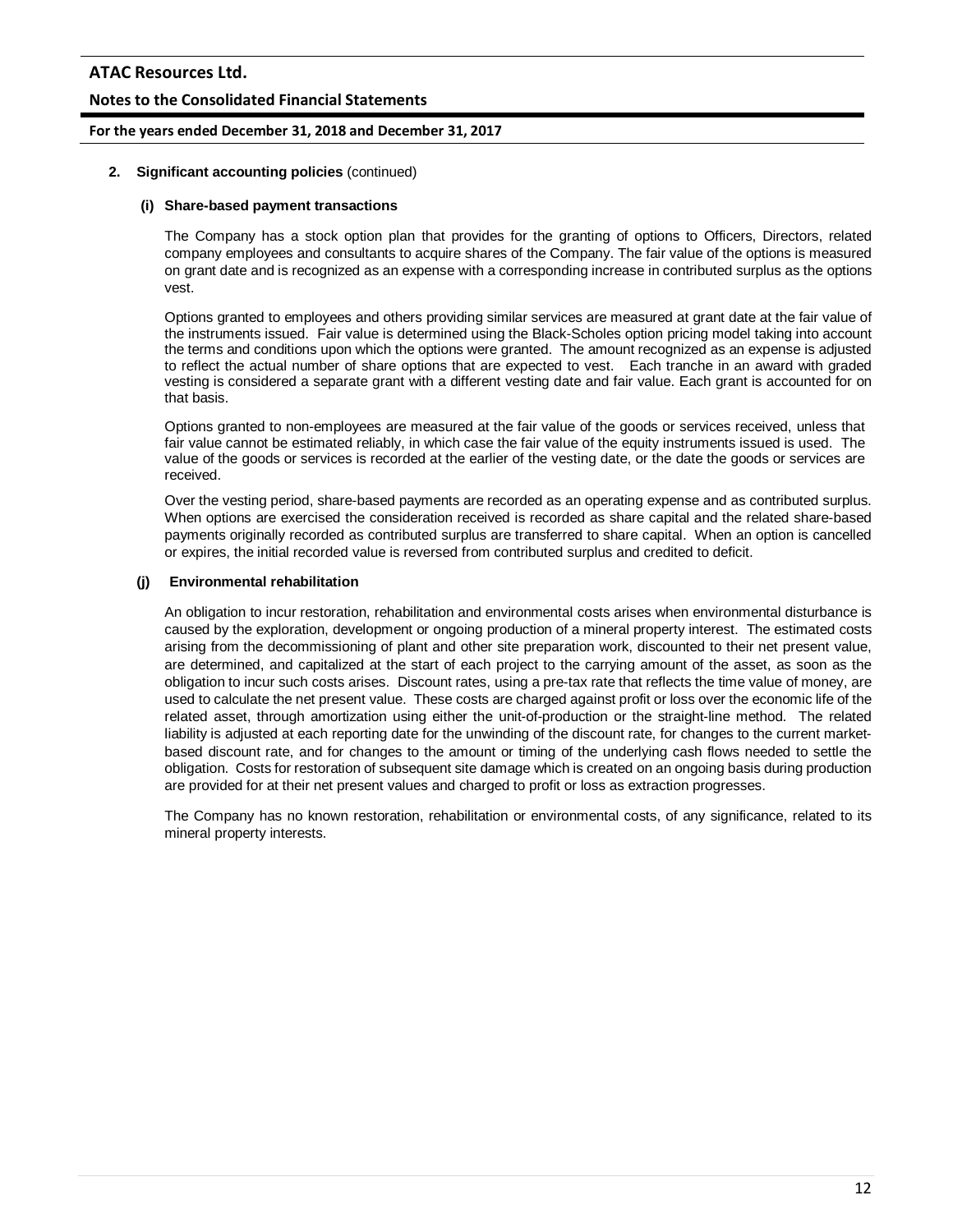### **Notes to the Consolidated Financial Statements**

### **For the years ended December 31, 2018 and December 31, 2017**

### **2. Significant accounting policies** (continued)

### **(i) Share-based payment transactions**

The Company has a stock option plan that provides for the granting of options to Officers, Directors, related company employees and consultants to acquire shares of the Company. The fair value of the options is measured on grant date and is recognized as an expense with a corresponding increase in contributed surplus as the options vest.

Options granted to employees and others providing similar services are measured at grant date at the fair value of the instruments issued. Fair value is determined using the Black-Scholes option pricing model taking into account the terms and conditions upon which the options were granted. The amount recognized as an expense is adjusted to reflect the actual number of share options that are expected to vest. Each tranche in an award with graded vesting is considered a separate grant with a different vesting date and fair value. Each grant is accounted for on that basis.

Options granted to non-employees are measured at the fair value of the goods or services received, unless that fair value cannot be estimated reliably, in which case the fair value of the equity instruments issued is used. The value of the goods or services is recorded at the earlier of the vesting date, or the date the goods or services are received.

Over the vesting period, share-based payments are recorded as an operating expense and as contributed surplus. When options are exercised the consideration received is recorded as share capital and the related share-based payments originally recorded as contributed surplus are transferred to share capital. When an option is cancelled or expires, the initial recorded value is reversed from contributed surplus and credited to deficit.

### **(j) Environmental rehabilitation**

An obligation to incur restoration, rehabilitation and environmental costs arises when environmental disturbance is caused by the exploration, development or ongoing production of a mineral property interest. The estimated costs arising from the decommissioning of plant and other site preparation work, discounted to their net present value, are determined, and capitalized at the start of each project to the carrying amount of the asset, as soon as the obligation to incur such costs arises. Discount rates, using a pre-tax rate that reflects the time value of money, are used to calculate the net present value. These costs are charged against profit or loss over the economic life of the related asset, through amortization using either the unit-of-production or the straight-line method. The related liability is adjusted at each reporting date for the unwinding of the discount rate, for changes to the current marketbased discount rate, and for changes to the amount or timing of the underlying cash flows needed to settle the obligation. Costs for restoration of subsequent site damage which is created on an ongoing basis during production are provided for at their net present values and charged to profit or loss as extraction progresses.

The Company has no known restoration, rehabilitation or environmental costs, of any significance, related to its mineral property interests.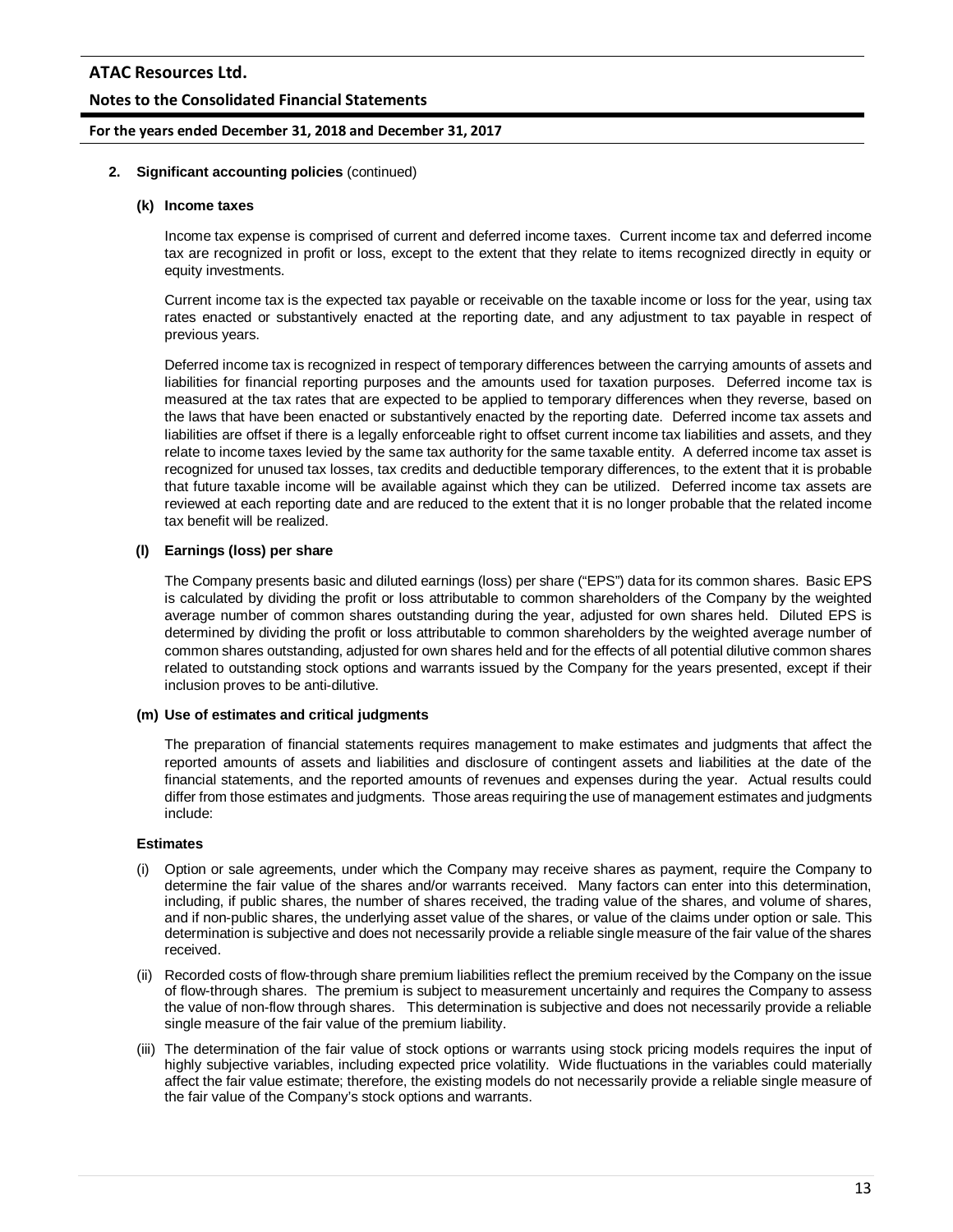### **Notes to the Consolidated Financial Statements**

### **For the years ended December 31, 2018 and December 31, 2017**

### **2. Significant accounting policies** (continued)

### **(k) Income taxes**

Income tax expense is comprised of current and deferred income taxes. Current income tax and deferred income tax are recognized in profit or loss, except to the extent that they relate to items recognized directly in equity or equity investments.

Current income tax is the expected tax payable or receivable on the taxable income or loss for the year, using tax rates enacted or substantively enacted at the reporting date, and any adjustment to tax payable in respect of previous years.

Deferred income tax is recognized in respect of temporary differences between the carrying amounts of assets and liabilities for financial reporting purposes and the amounts used for taxation purposes. Deferred income tax is measured at the tax rates that are expected to be applied to temporary differences when they reverse, based on the laws that have been enacted or substantively enacted by the reporting date. Deferred income tax assets and liabilities are offset if there is a legally enforceable right to offset current income tax liabilities and assets, and they relate to income taxes levied by the same tax authority for the same taxable entity. A deferred income tax asset is recognized for unused tax losses, tax credits and deductible temporary differences, to the extent that it is probable that future taxable income will be available against which they can be utilized. Deferred income tax assets are reviewed at each reporting date and are reduced to the extent that it is no longer probable that the related income tax benefit will be realized.

### **(l) Earnings (loss) per share**

The Company presents basic and diluted earnings (loss) per share ("EPS") data for its common shares. Basic EPS is calculated by dividing the profit or loss attributable to common shareholders of the Company by the weighted average number of common shares outstanding during the year, adjusted for own shares held. Diluted EPS is determined by dividing the profit or loss attributable to common shareholders by the weighted average number of common shares outstanding, adjusted for own shares held and for the effects of all potential dilutive common shares related to outstanding stock options and warrants issued by the Company for the years presented, except if their inclusion proves to be anti-dilutive.

### **(m) Use of estimates and critical judgments**

The preparation of financial statements requires management to make estimates and judgments that affect the reported amounts of assets and liabilities and disclosure of contingent assets and liabilities at the date of the financial statements, and the reported amounts of revenues and expenses during the year. Actual results could differ from those estimates and judgments. Those areas requiring the use of management estimates and judgments include:

### **Estimates**

- (i) Option or sale agreements, under which the Company may receive shares as payment, require the Company to determine the fair value of the shares and/or warrants received. Many factors can enter into this determination, including, if public shares, the number of shares received, the trading value of the shares, and volume of shares, and if non-public shares, the underlying asset value of the shares, or value of the claims under option or sale. This determination is subjective and does not necessarily provide a reliable single measure of the fair value of the shares received.
- (ii) Recorded costs of flow-through share premium liabilities reflect the premium received by the Company on the issue of flow-through shares. The premium is subject to measurement uncertainly and requires the Company to assess the value of non-flow through shares. This determination is subjective and does not necessarily provide a reliable single measure of the fair value of the premium liability.
- (iii) The determination of the fair value of stock options or warrants using stock pricing models requires the input of highly subjective variables, including expected price volatility. Wide fluctuations in the variables could materially affect the fair value estimate; therefore, the existing models do not necessarily provide a reliable single measure of the fair value of the Company's stock options and warrants.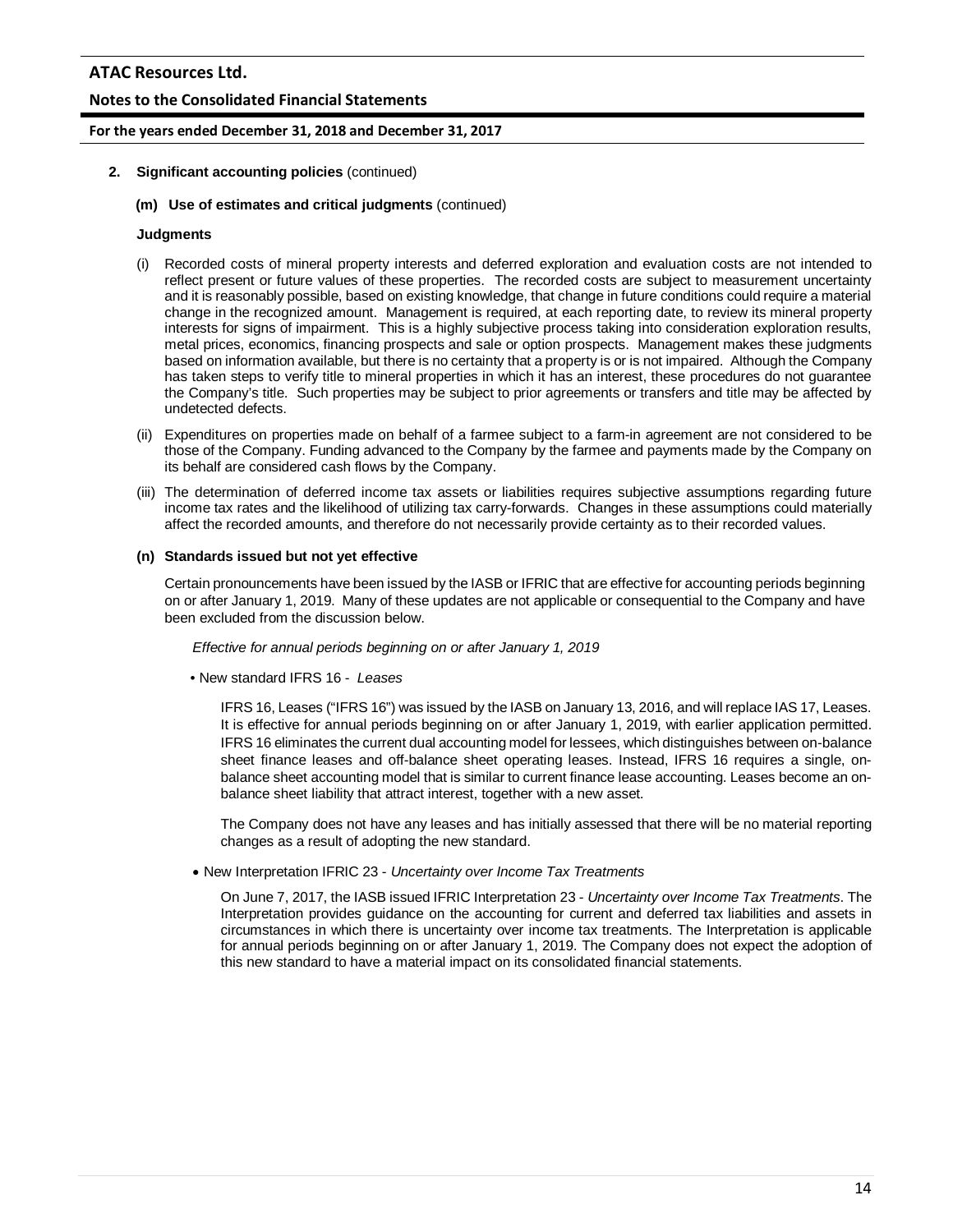### **Notes to the Consolidated Financial Statements**

### **For the years ended December 31, 2018 and December 31, 2017**

**2. Significant accounting policies** (continued)

### **(m) Use of estimates and critical judgments** (continued)

### **Judgments**

- (i) Recorded costs of mineral property interests and deferred exploration and evaluation costs are not intended to reflect present or future values of these properties. The recorded costs are subject to measurement uncertainty and it is reasonably possible, based on existing knowledge, that change in future conditions could require a material change in the recognized amount. Management is required, at each reporting date, to review its mineral property interests for signs of impairment. This is a highly subjective process taking into consideration exploration results, metal prices, economics, financing prospects and sale or option prospects. Management makes these judgments based on information available, but there is no certainty that a property is or is not impaired. Although the Company has taken steps to verify title to mineral properties in which it has an interest, these procedures do not guarantee the Company's title. Such properties may be subject to prior agreements or transfers and title may be affected by undetected defects.
- (ii) Expenditures on properties made on behalf of a farmee subject to a farm-in agreement are not considered to be those of the Company. Funding advanced to the Company by the farmee and payments made by the Company on its behalf are considered cash flows by the Company.
- (iii) The determination of deferred income tax assets or liabilities requires subjective assumptions regarding future income tax rates and the likelihood of utilizing tax carry-forwards. Changes in these assumptions could materially affect the recorded amounts, and therefore do not necessarily provide certainty as to their recorded values.

### **(n) Standards issued but not yet effective**

Certain pronouncements have been issued by the IASB or IFRIC that are effective for accounting periods beginning on or after January 1, 2019. Many of these updates are not applicable or consequential to the Company and have been excluded from the discussion below.

*Effective for annual periods beginning on or after January 1, 2019*

• New standard IFRS 16 - *Leases*

IFRS 16, Leases ("IFRS 16") was issued by the IASB on January 13, 2016, and will replace IAS 17, Leases. It is effective for annual periods beginning on or after January 1, 2019, with earlier application permitted. IFRS 16 eliminates the current dual accounting model for lessees, which distinguishes between on-balance sheet finance leases and off-balance sheet operating leases. Instead, IFRS 16 requires a single, onbalance sheet accounting model that is similar to current finance lease accounting. Leases become an onbalance sheet liability that attract interest, together with a new asset.

The Company does not have any leases and has initially assessed that there will be no material reporting changes as a result of adopting the new standard.

• New Interpretation IFRIC 23 - *Uncertainty over Income Tax Treatments*

On June 7, 2017, the IASB issued IFRIC Interpretation 23 - *Uncertainty over Income Tax Treatments*. The Interpretation provides guidance on the accounting for current and deferred tax liabilities and assets in circumstances in which there is uncertainty over income tax treatments. The Interpretation is applicable for annual periods beginning on or after January 1, 2019. The Company does not expect the adoption of this new standard to have a material impact on its consolidated financial statements.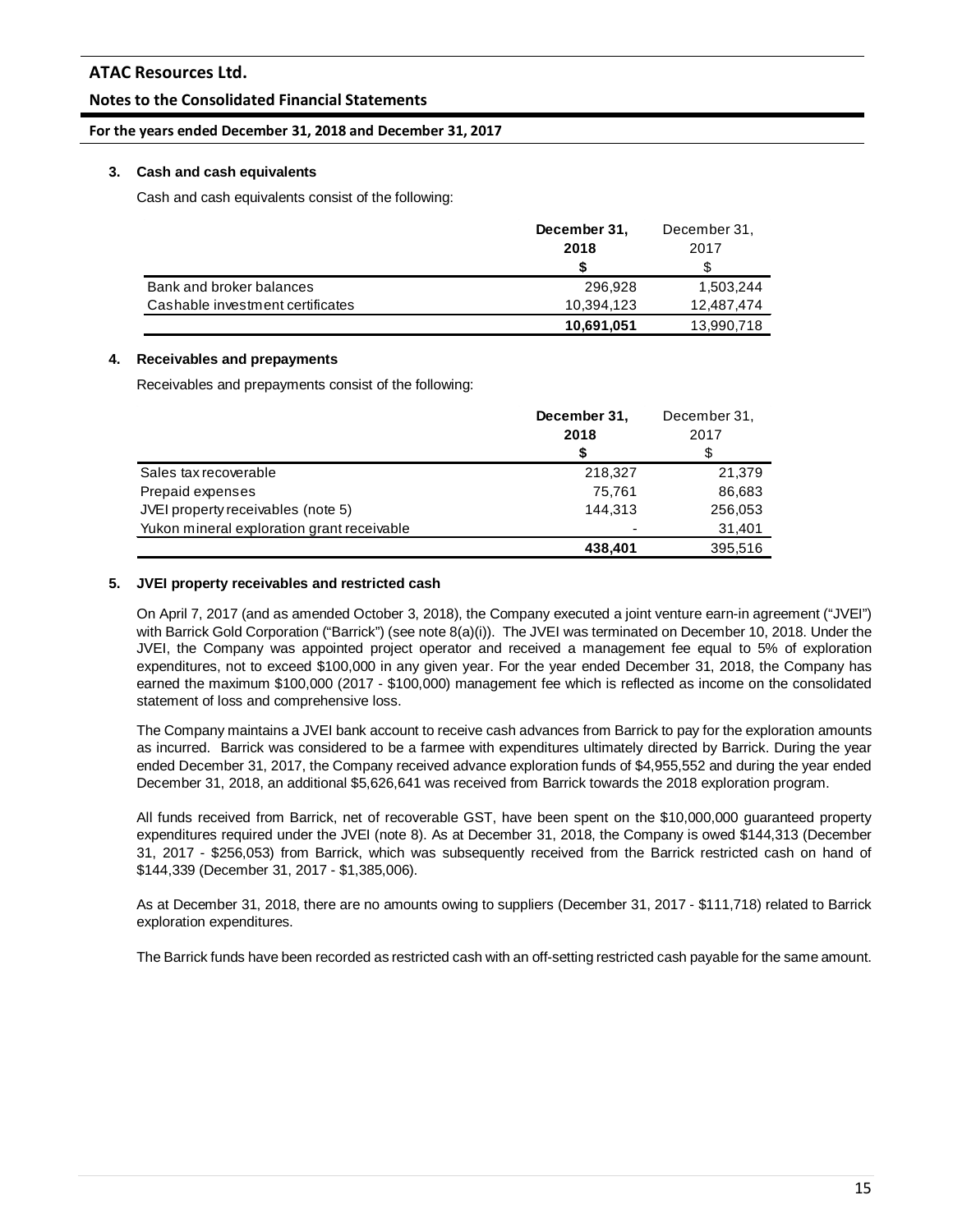### **Notes to the Consolidated Financial Statements**

### **For the years ended December 31, 2018 and December 31, 2017**

### **3. Cash and cash equivalents**

Cash and cash equivalents consist of the following:

|                                  | December 31, | December 31, |
|----------------------------------|--------------|--------------|
|                                  | 2018         | 2017         |
|                                  |              |              |
| Bank and broker balances         | 296.928      | 1,503,244    |
| Cashable investment certificates | 10,394,123   | 12.487.474   |
|                                  | 10,691,051   | 13,990,718   |

### **4. Receivables and prepayments**

Receivables and prepayments consist of the following:

|                                            | December 31,<br>2018 | December 31,<br>2017 |
|--------------------------------------------|----------------------|----------------------|
|                                            | S                    | S                    |
| Sales tax recoverable                      | 218,327              | 21,379               |
| Prepaid expenses                           | 75.761               | 86,683               |
| JVEI property receivables (note 5)         | 144.313              | 256,053              |
| Yukon mineral exploration grant receivable |                      | 31,401               |
|                                            | 438,401              | 395,516              |

### **5. JVEI property receivables and restricted cash**

On April 7, 2017 (and as amended October 3, 2018), the Company executed a joint venture earn-in agreement ("JVEI") with Barrick Gold Corporation ("Barrick") (see note 8(a)(i)). The JVEI was terminated on December 10, 2018. Under the JVEI, the Company was appointed project operator and received a management fee equal to 5% of exploration expenditures, not to exceed \$100,000 in any given year. For the year ended December 31, 2018, the Company has earned the maximum \$100,000 (2017 - \$100,000) management fee which is reflected as income on the consolidated statement of loss and comprehensive loss.

The Company maintains a JVEI bank account to receive cash advances from Barrick to pay for the exploration amounts as incurred. Barrick was considered to be a farmee with expenditures ultimately directed by Barrick. During the year ended December 31, 2017, the Company received advance exploration funds of \$4,955,552 and during the year ended December 31, 2018, an additional \$5,626,641 was received from Barrick towards the 2018 exploration program.

All funds received from Barrick, net of recoverable GST, have been spent on the \$10,000,000 guaranteed property expenditures required under the JVEI (note 8). As at December 31, 2018, the Company is owed \$144,313 (December 31, 2017 - \$256,053) from Barrick, which was subsequently received from the Barrick restricted cash on hand of \$144,339 (December 31, 2017 - \$1,385,006).

As at December 31, 2018, there are no amounts owing to suppliers (December 31, 2017 - \$111,718) related to Barrick exploration expenditures.

The Barrick funds have been recorded as restricted cash with an off-setting restricted cash payable for the same amount.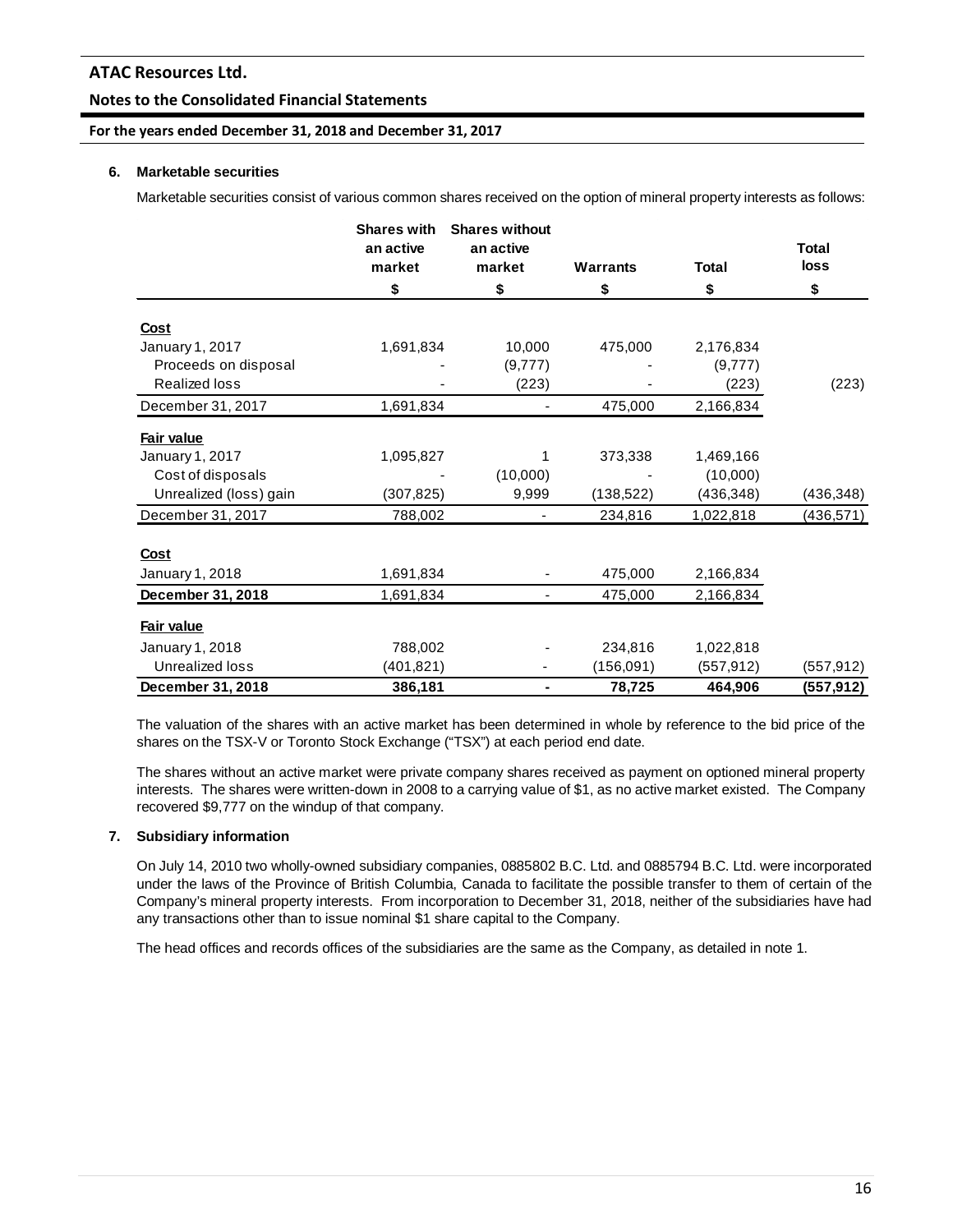### **Notes to the Consolidated Financial Statements**

### **For the years ended December 31, 2018 and December 31, 2017**

### **6. Marketable securities**

Marketable securities consist of various common shares received on the option of mineral property interests as follows:

|                        | <b>Shares with</b><br>an active | <b>Shares without</b><br>an active |                 |              | <b>Total</b> |
|------------------------|---------------------------------|------------------------------------|-----------------|--------------|--------------|
|                        | market                          | market                             | <b>Warrants</b> | <b>Total</b> | loss         |
|                        | \$                              | \$                                 | \$              | \$           | \$           |
| <b>Cost</b>            |                                 |                                    |                 |              |              |
| January 1, 2017        | 1,691,834                       | 10,000                             | 475,000         | 2,176,834    |              |
| Proceeds on disposal   |                                 | (9,777)                            |                 | (9,777)      |              |
| <b>Realized loss</b>   |                                 | (223)                              |                 | (223)        | (223)        |
| December 31, 2017      | 1,691,834                       |                                    | 475,000         | 2,166,834    |              |
| Fair value             |                                 |                                    |                 |              |              |
| January 1, 2017        | 1,095,827                       |                                    | 373,338         | 1,469,166    |              |
| Cost of disposals      |                                 | (10,000)                           |                 | (10,000)     |              |
| Unrealized (loss) gain | (307, 825)                      | 9,999                              | (138, 522)      | (436, 348)   | (436,348)    |
| December 31, 2017      | 788,002                         |                                    | 234,816         | 1,022,818    | (436, 571)   |
| Cost                   |                                 |                                    |                 |              |              |
| January 1, 2018        | 1,691,834                       |                                    | 475,000         | 2,166,834    |              |
| December 31, 2018      | 1,691,834                       |                                    | 475,000         | 2,166,834    |              |
| Fair value             |                                 |                                    |                 |              |              |
| January 1, 2018        | 788,002                         |                                    | 234,816         | 1,022,818    |              |
| Unrealized loss        | (401, 821)                      |                                    | (156,091)       | (557, 912)   | (557, 912)   |
| December 31, 2018      | 386,181                         |                                    | 78,725          | 464,906      | (557,912)    |

The valuation of the shares with an active market has been determined in whole by reference to the bid price of the shares on the TSX-V or Toronto Stock Exchange ("TSX") at each period end date.

The shares without an active market were private company shares received as payment on optioned mineral property interests. The shares were written-down in 2008 to a carrying value of \$1, as no active market existed. The Company recovered \$9,777 on the windup of that company.

### **7. Subsidiary information**

On July 14, 2010 two wholly-owned subsidiary companies, 0885802 B.C. Ltd. and 0885794 B.C. Ltd. were incorporated under the laws of the Province of British Columbia, Canada to facilitate the possible transfer to them of certain of the Company's mineral property interests. From incorporation to December 31, 2018, neither of the subsidiaries have had any transactions other than to issue nominal \$1 share capital to the Company.

The head offices and records offices of the subsidiaries are the same as the Company, as detailed in note 1.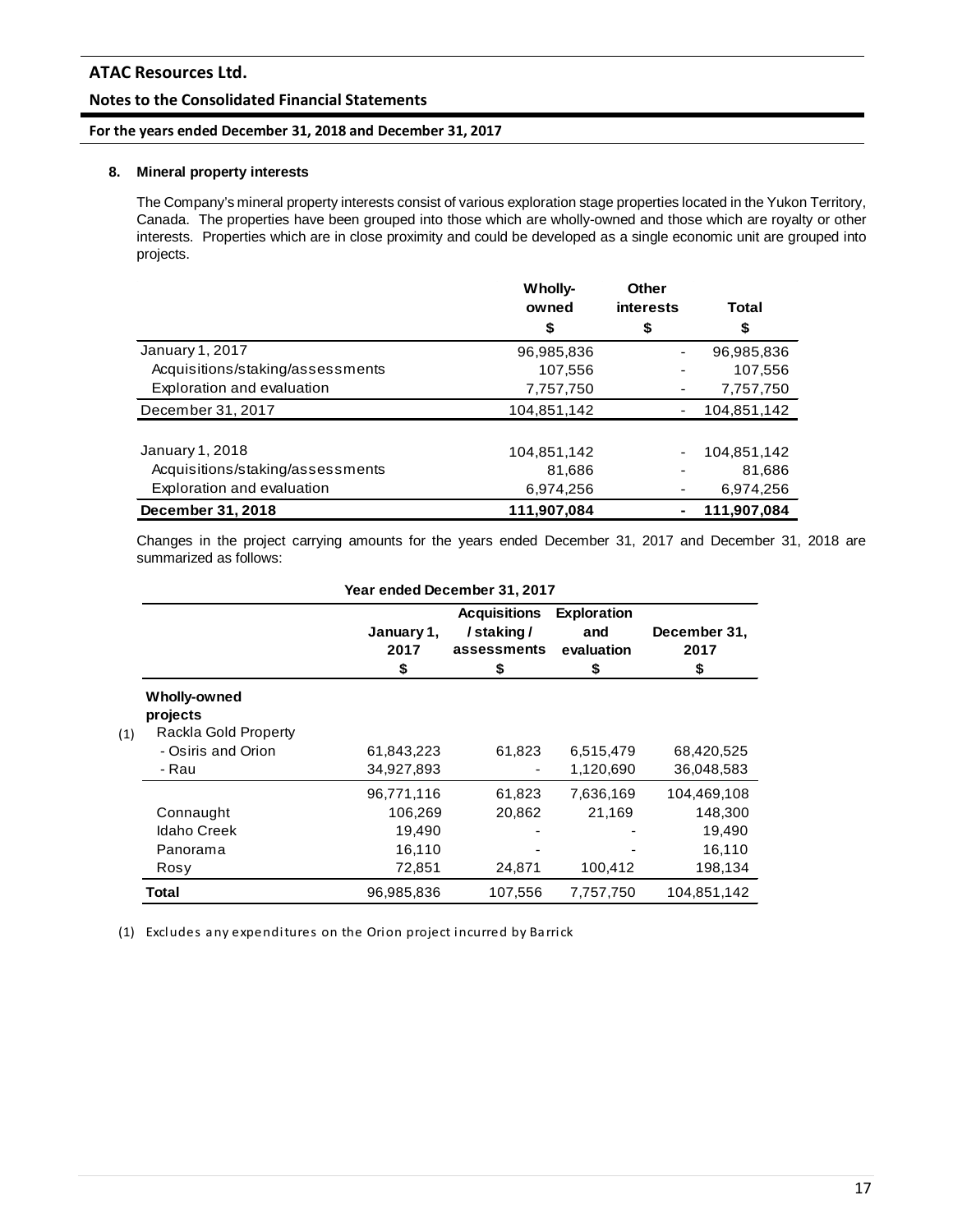### **Notes to the Consolidated Financial Statements**

### **For the years ended December 31, 2018 and December 31, 2017**

### **8. Mineral property interests**

The Company's mineral property interests consist of various exploration stage properties located in the Yukon Territory, Canada. The properties have been grouped into those which are wholly-owned and those which are royalty or other interests. Properties which are in close proximity and could be developed as a single economic unit are grouped into projects.

|                                  | Wholly-     | Other            |             |
|----------------------------------|-------------|------------------|-------------|
|                                  | owned       | <i>interests</i> | Total       |
|                                  | \$          | \$               | \$          |
| January 1, 2017                  | 96,985,836  |                  | 96,985,836  |
| Acquisitions/staking/assessments | 107,556     |                  | 107,556     |
| Exploration and evaluation       | 7,757,750   |                  | 7,757,750   |
| December 31, 2017                | 104,851,142 |                  | 104,851,142 |
|                                  |             |                  |             |
| January 1, 2018                  | 104,851,142 |                  | 104,851,142 |
| Acquisitions/staking/assessments | 81,686      |                  | 81,686      |
| Exploration and evaluation       | 6,974,256   |                  | 6,974,256   |
| December 31, 2018                | 111,907,084 |                  | 111,907,084 |

Changes in the project carrying amounts for the years ended December 31, 2017 and December 31, 2018 are summarized as follows:

|     |                                                         | January 1,<br>2017<br>\$ | <b>Acquisitions</b><br>/staking/<br>assessments<br>\$ | <b>Exploration</b><br>and<br>evaluation<br>\$ | December 31,<br>2017<br>\$ |
|-----|---------------------------------------------------------|--------------------------|-------------------------------------------------------|-----------------------------------------------|----------------------------|
| (1) | Wholly-owned<br>projects<br>Rackla Gold Property        |                          |                                                       |                                               |                            |
|     | - Osiris and Orion<br>61,843,223<br>34,927,893<br>- Rau | 61,823                   | 6,515,479<br>1,120,690                                | 68,420,525<br>36,048,583                      |                            |
|     |                                                         | 96,771,116               | 61,823                                                | 7,636,169                                     | 104,469,108                |
|     | Connaught                                               | 106,269                  | 20,862                                                | 21,169                                        | 148,300                    |
|     | Idaho Creek                                             | 19,490                   |                                                       |                                               | 19,490                     |
|     | Panorama                                                | 16,110                   |                                                       |                                               | 16,110                     |
|     | Rosy                                                    | 72,851                   | 24,871                                                | 100,412                                       | 198,134                    |
|     | Total                                                   | 96,985,836               | 107,556                                               | 7,757,750                                     | 104,851,142                |

(1) Excludes any expenditures on the Orion project incurred by Barrick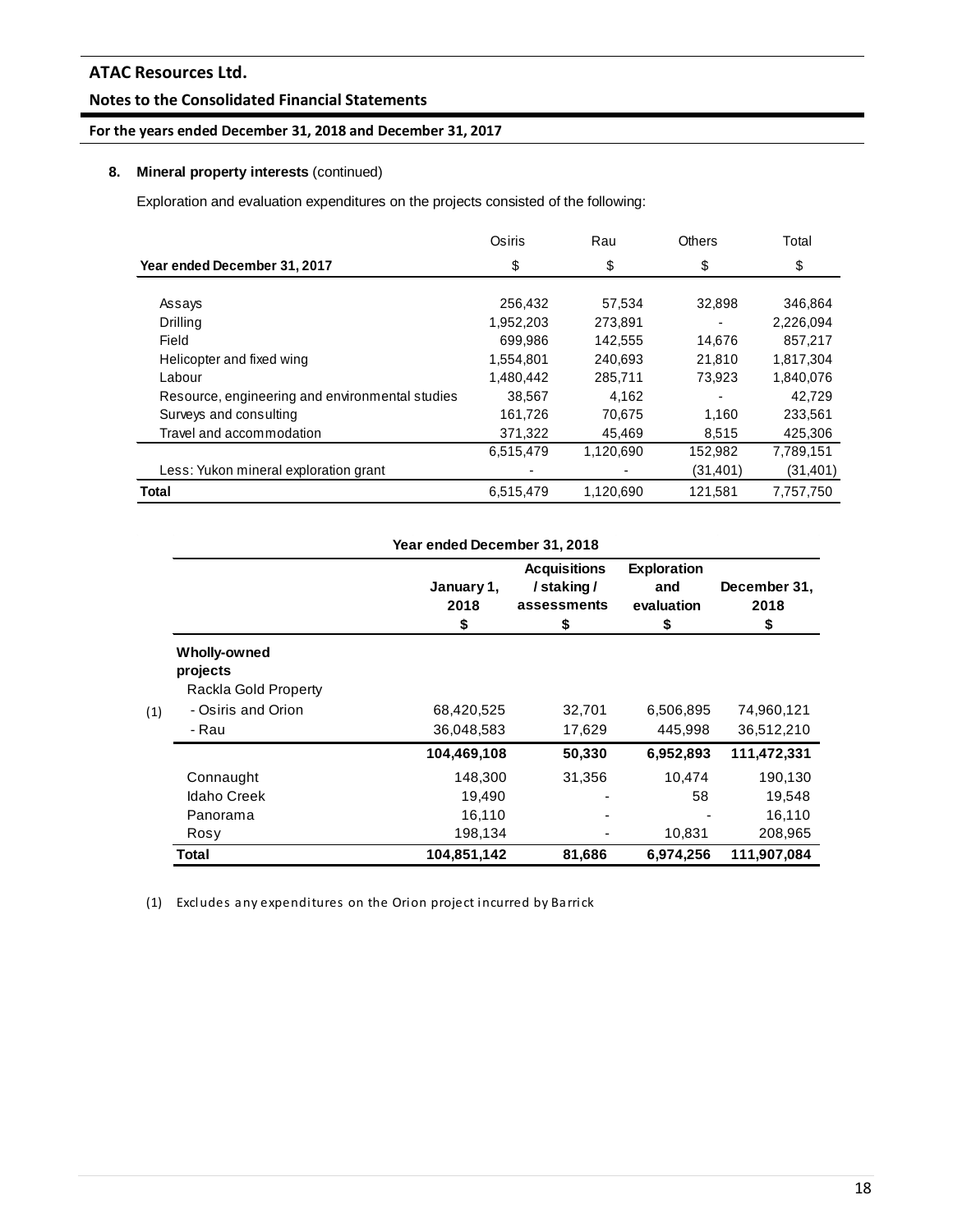### **Notes to the Consolidated Financial Statements**

# **For the years ended December 31, 2018 and December 31, 2017**

### **8. Mineral property interests** (continued)

Exploration and evaluation expenditures on the projects consisted of the following:

|                                                 | Osiris    | Rau       | <b>Others</b> | Total     |
|-------------------------------------------------|-----------|-----------|---------------|-----------|
| Year ended December 31, 2017                    | \$        | \$        | \$            | \$        |
|                                                 |           |           |               |           |
| Assays                                          | 256,432   | 57,534    | 32,898        | 346,864   |
| Drilling                                        | 1,952,203 | 273,891   |               | 2,226,094 |
| Field                                           | 699,986   | 142,555   | 14,676        | 857,217   |
| Helicopter and fixed wing                       | 1,554,801 | 240,693   | 21.810        | 1,817,304 |
| Labour                                          | 1.480.442 | 285,711   | 73,923        | 1,840,076 |
| Resource, engineering and environmental studies | 38,567    | 4,162     |               | 42.729    |
| Surveys and consulting                          | 161,726   | 70.675    | 1.160         | 233,561   |
| Travel and accommodation                        | 371,322   | 45,469    | 8,515         | 425,306   |
|                                                 | 6,515,479 | 1,120,690 | 152,982       | 7,789,151 |
| Less: Yukon mineral exploration grant           |           |           | (31, 401)     | (31, 401) |
| Total                                           | 6,515,479 | 1,120,690 | 121.581       | 7.757.750 |

|     |                                                         | Year ended December 31, 2018 |                                                       |                                               |                            |
|-----|---------------------------------------------------------|------------------------------|-------------------------------------------------------|-----------------------------------------------|----------------------------|
|     |                                                         | January 1,<br>2018<br>\$     | <b>Acquisitions</b><br>/staking/<br>assessments<br>\$ | <b>Exploration</b><br>and<br>evaluation<br>\$ | December 31,<br>2018<br>\$ |
|     | <b>Wholly-owned</b><br>projects<br>Rackla Gold Property |                              |                                                       |                                               |                            |
| (1) | - Osiris and Orion<br>68,420,525                        | 32,701                       | 6,506,895                                             | 74,960,121                                    |                            |
|     | - Rau                                                   | 36,048,583                   | 17,629                                                | 445,998                                       | 36,512,210                 |
|     |                                                         | 104,469,108                  | 50,330                                                | 6,952,893                                     | 111,472,331                |
|     | Connaught                                               | 148,300                      | 31,356                                                | 10,474                                        | 190,130                    |
|     | Idaho Creek                                             | 19,490                       |                                                       | 58                                            | 19.548                     |
|     | Panorama                                                | 16,110                       |                                                       |                                               | 16,110                     |
|     | 198,134<br>Rosy                                         |                              | 10,831                                                | 208,965                                       |                            |
|     | Total                                                   | 104,851,142                  | 81,686                                                | 6,974,256                                     | 111,907,084                |

(1) Excludes any expenditures on the Orion project incurred by Barrick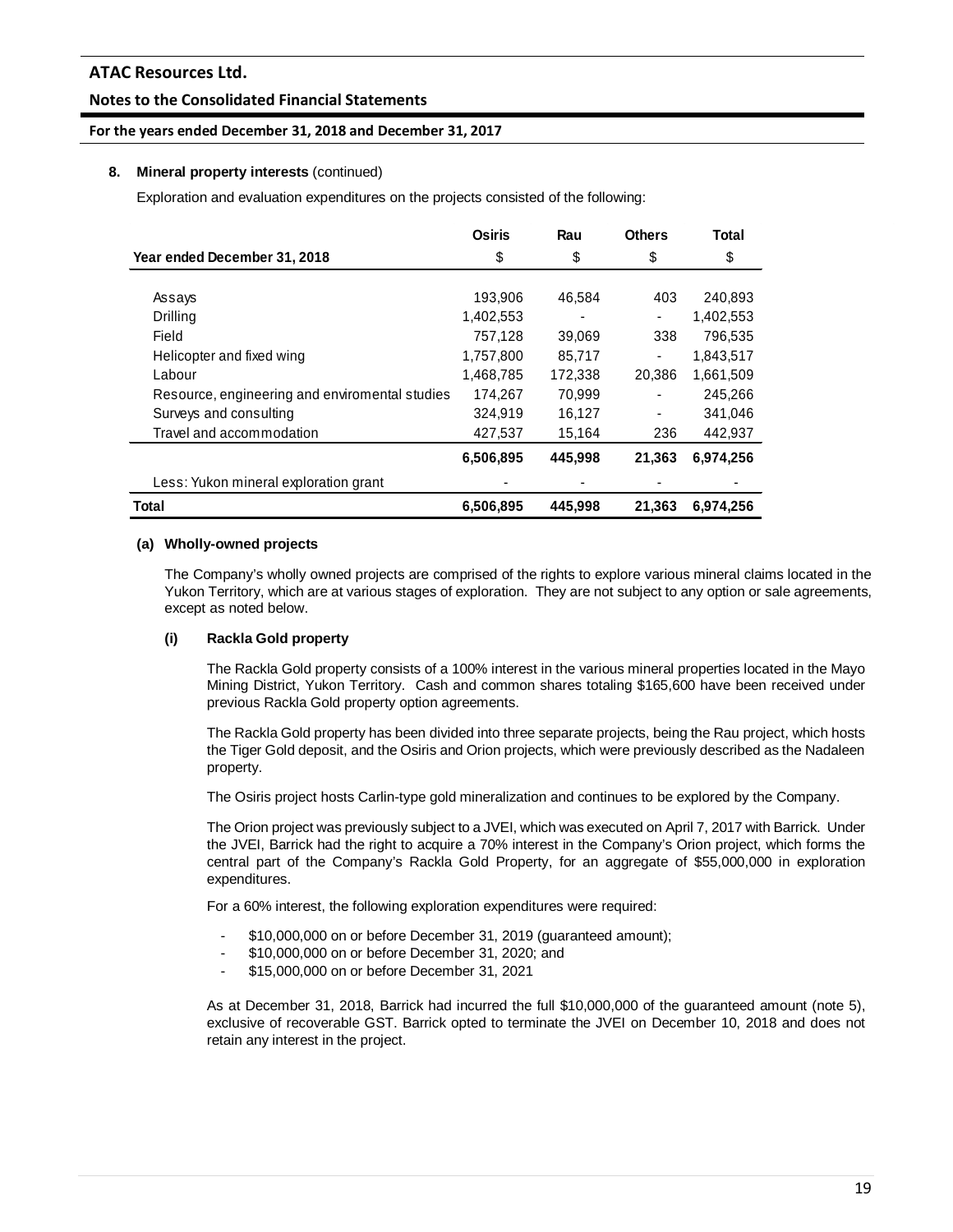### **Notes to the Consolidated Financial Statements**

### **For the years ended December 31, 2018 and December 31, 2017**

### **8. Mineral property interests** (continued)

Exploration and evaluation expenditures on the projects consisted of the following:

|                                                | <b>Osiris</b> | Rau     | <b>Others</b>                | Total     |
|------------------------------------------------|---------------|---------|------------------------------|-----------|
| Year ended December 31, 2018                   | \$            | \$      | \$                           | \$        |
|                                                |               |         |                              |           |
| Assays                                         | 193,906       | 46,584  | 403                          | 240,893   |
| Drilling                                       | 1,402,553     |         | $\qquad \qquad \blacksquare$ | 1,402,553 |
| Field                                          | 757,128       | 39,069  | 338                          | 796,535   |
| Helicopter and fixed wing                      | 1,757,800     | 85,717  | -                            | 1,843,517 |
| Labour                                         | 1,468,785     | 172,338 | 20,386                       | 1,661,509 |
| Resource, engineering and enviromental studies | 174,267       | 70,999  |                              | 245,266   |
| Surveys and consulting                         | 324,919       | 16,127  | $\qquad \qquad \blacksquare$ | 341,046   |
| Travel and accommodation                       | 427,537       | 15,164  | 236                          | 442,937   |
|                                                | 6,506,895     | 445.998 | 21.363                       | 6,974,256 |
| Less: Yukon mineral exploration grant          |               |         |                              |           |
| Total                                          | 6,506,895     | 445,998 | 21.363                       | 6.974.256 |

### **(a) Wholly-owned projects**

The Company's wholly owned projects are comprised of the rights to explore various mineral claims located in the Yukon Territory, which are at various stages of exploration. They are not subject to any option or sale agreements, except as noted below.

### **(i) Rackla Gold property**

The Rackla Gold property consists of a 100% interest in the various mineral properties located in the Mayo Mining District, Yukon Territory. Cash and common shares totaling \$165,600 have been received under previous Rackla Gold property option agreements.

The Rackla Gold property has been divided into three separate projects, being the Rau project, which hosts the Tiger Gold deposit, and the Osiris and Orion projects, which were previously described as the Nadaleen property.

The Osiris project hosts Carlin-type gold mineralization and continues to be explored by the Company.

The Orion project was previously subject to a JVEI, which was executed on April 7, 2017 with Barrick. Under the JVEI, Barrick had the right to acquire a 70% interest in the Company's Orion project, which forms the central part of the Company's Rackla Gold Property, for an aggregate of \$55,000,000 in exploration expenditures.

For a 60% interest, the following exploration expenditures were required:

- \$10,000,000 on or before December 31, 2019 (guaranteed amount);
- \$10,000,000 on or before December 31, 2020; and
- \$15,000,000 on or before December 31, 2021

As at December 31, 2018, Barrick had incurred the full \$10,000,000 of the guaranteed amount (note 5), exclusive of recoverable GST. Barrick opted to terminate the JVEI on December 10, 2018 and does not retain any interest in the project.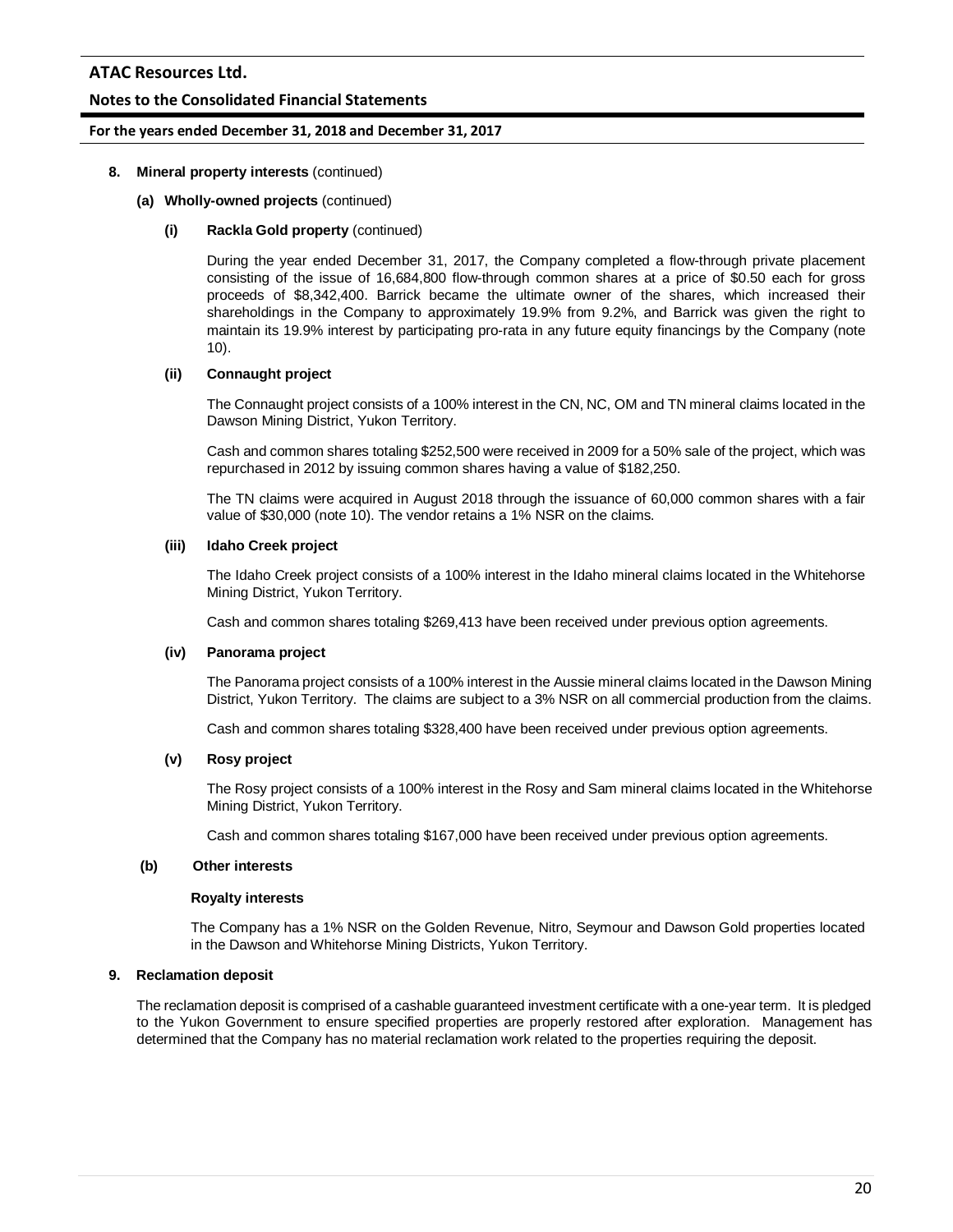### **Notes to the Consolidated Financial Statements**

### **For the years ended December 31, 2018 and December 31, 2017**

### **8. Mineral property interests** (continued)

### **(a) Wholly-owned projects** (continued)

### **(i) Rackla Gold property** (continued)

During the year ended December 31, 2017, the Company completed a flow-through private placement consisting of the issue of 16,684,800 flow-through common shares at a price of \$0.50 each for gross proceeds of \$8,342,400. Barrick became the ultimate owner of the shares, which increased their shareholdings in the Company to approximately 19.9% from 9.2%, and Barrick was given the right to maintain its 19.9% interest by participating pro-rata in any future equity financings by the Company (note 10).

### **(ii) Connaught project**

The Connaught project consists of a 100% interest in the CN, NC, OM and TN mineral claims located in the Dawson Mining District, Yukon Territory.

Cash and common shares totaling \$252,500 were received in 2009 for a 50% sale of the project, which was repurchased in 2012 by issuing common shares having a value of \$182,250.

The TN claims were acquired in August 2018 through the issuance of 60,000 common shares with a fair value of \$30,000 (note 10). The vendor retains a 1% NSR on the claims.

### **(iii) Idaho Creek project**

The Idaho Creek project consists of a 100% interest in the Idaho mineral claims located in the Whitehorse Mining District, Yukon Territory.

Cash and common shares totaling \$269,413 have been received under previous option agreements.

#### **(iv) Panorama project**

The Panorama project consists of a 100% interest in the Aussie mineral claims located in the Dawson Mining District, Yukon Territory. The claims are subject to a 3% NSR on all commercial production from the claims.

Cash and common shares totaling \$328,400 have been received under previous option agreements.

#### **(v) Rosy project**

The Rosy project consists of a 100% interest in the Rosy and Sam mineral claims located in the Whitehorse Mining District, Yukon Territory.

Cash and common shares totaling \$167,000 have been received under previous option agreements.

#### **(b) Other interests**

#### **Royalty interests**

The Company has a 1% NSR on the Golden Revenue, Nitro, Seymour and Dawson Gold properties located in the Dawson and Whitehorse Mining Districts, Yukon Territory.

#### **9. Reclamation deposit**

The reclamation deposit is comprised of a cashable guaranteed investment certificate with a one-year term. It is pledged to the Yukon Government to ensure specified properties are properly restored after exploration. Management has determined that the Company has no material reclamation work related to the properties requiring the deposit.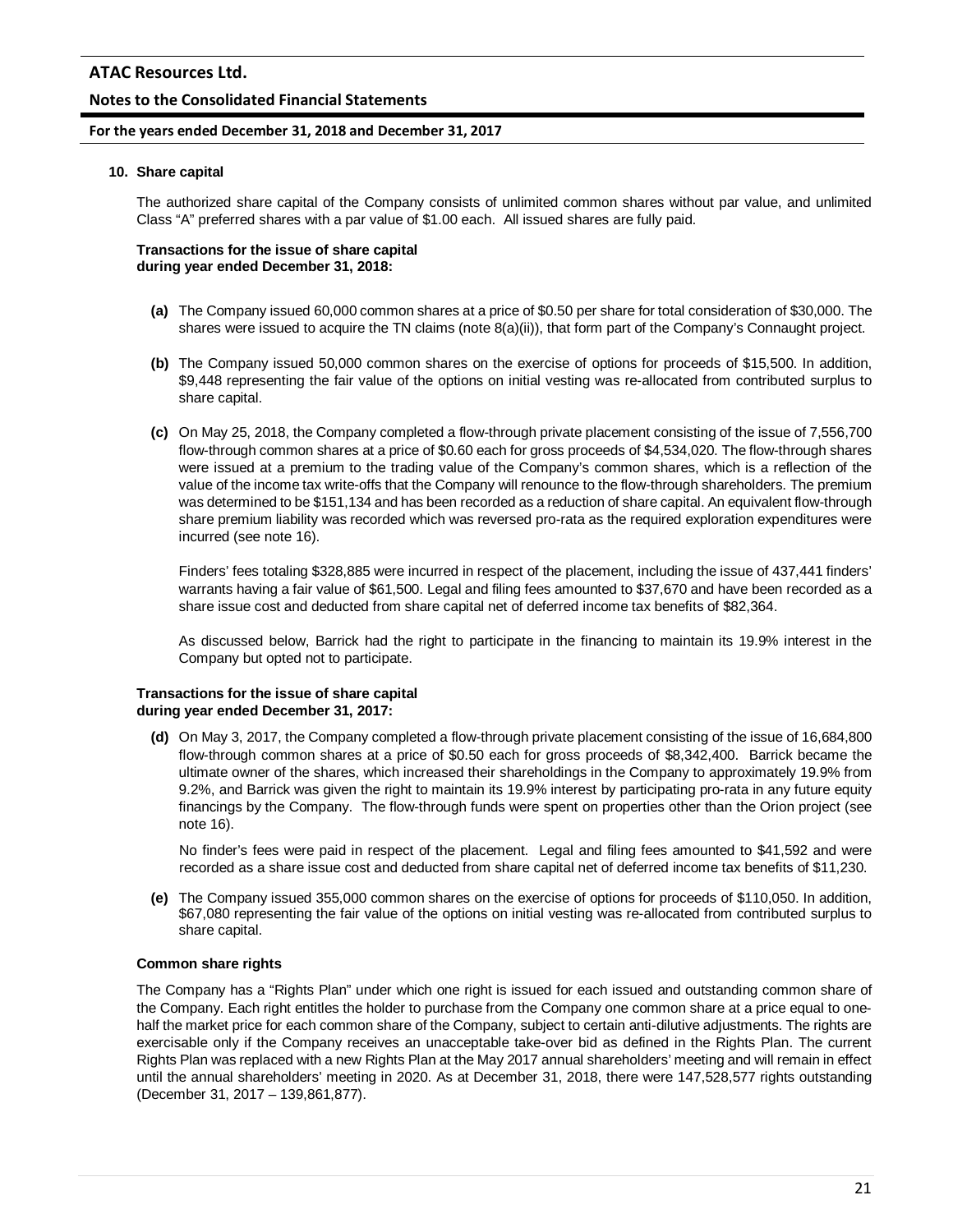### **Notes to the Consolidated Financial Statements**

### **For the years ended December 31, 2018 and December 31, 2017**

### **10. Share capital**

The authorized share capital of the Company consists of unlimited common shares without par value, and unlimited Class "A" preferred shares with a par value of \$1.00 each. All issued shares are fully paid.

### **Transactions for the issue of share capital during year ended December 31, 2018:**

- **(a)** The Company issued 60,000 common shares at a price of \$0.50 per share for total consideration of \$30,000. The shares were issued to acquire the TN claims (note 8(a)(ii)), that form part of the Company's Connaught project.
- **(b)** The Company issued 50,000 common shares on the exercise of options for proceeds of \$15,500. In addition, \$9,448 representing the fair value of the options on initial vesting was re-allocated from contributed surplus to share capital.
- **(c)** On May 25, 2018, the Company completed a flow-through private placement consisting of the issue of 7,556,700 flow-through common shares at a price of \$0.60 each for gross proceeds of \$4,534,020. The flow-through shares were issued at a premium to the trading value of the Company's common shares, which is a reflection of the value of the income tax write-offs that the Company will renounce to the flow-through shareholders. The premium was determined to be \$151,134 and has been recorded as a reduction of share capital. An equivalent flow-through share premium liability was recorded which was reversed pro-rata as the required exploration expenditures were incurred (see note 16).

Finders' fees totaling \$328,885 were incurred in respect of the placement, including the issue of 437,441 finders' warrants having a fair value of \$61,500. Legal and filing fees amounted to \$37,670 and have been recorded as a share issue cost and deducted from share capital net of deferred income tax benefits of \$82,364.

As discussed below, Barrick had the right to participate in the financing to maintain its 19.9% interest in the Company but opted not to participate.

### **Transactions for the issue of share capital during year ended December 31, 2017:**

**(d)** On May 3, 2017, the Company completed a flow-through private placement consisting of the issue of 16,684,800 flow-through common shares at a price of \$0.50 each for gross proceeds of \$8,342,400. Barrick became the ultimate owner of the shares, which increased their shareholdings in the Company to approximately 19.9% from 9.2%, and Barrick was given the right to maintain its 19.9% interest by participating pro-rata in any future equity financings by the Company. The flow-through funds were spent on properties other than the Orion project (see note 16).

No finder's fees were paid in respect of the placement. Legal and filing fees amounted to \$41,592 and were recorded as a share issue cost and deducted from share capital net of deferred income tax benefits of \$11,230.

**(e)** The Company issued 355,000 common shares on the exercise of options for proceeds of \$110,050. In addition, \$67,080 representing the fair value of the options on initial vesting was re-allocated from contributed surplus to share capital.

### **Common share rights**

The Company has a "Rights Plan" under which one right is issued for each issued and outstanding common share of the Company. Each right entitles the holder to purchase from the Company one common share at a price equal to onehalf the market price for each common share of the Company, subject to certain anti-dilutive adjustments. The rights are exercisable only if the Company receives an unacceptable take-over bid as defined in the Rights Plan. The current Rights Plan was replaced with a new Rights Plan at the May 2017 annual shareholders' meeting and will remain in effect until the annual shareholders' meeting in 2020. As at December 31, 2018, there were 147,528,577 rights outstanding (December 31, 2017 – 139,861,877).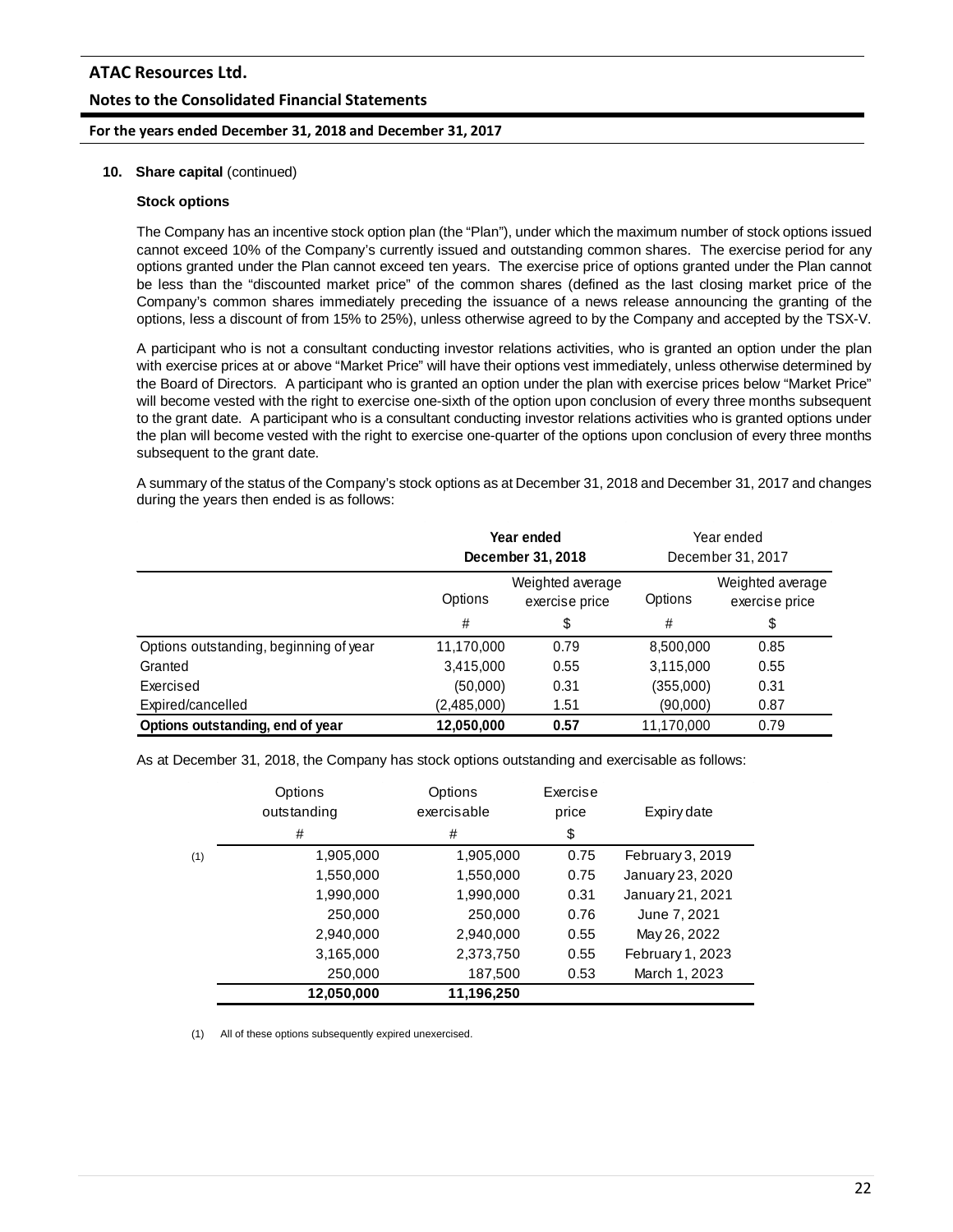### **Notes to the Consolidated Financial Statements**

### **For the years ended December 31, 2018 and December 31, 2017**

### **10. Share capital** (continued)

### **Stock options**

The Company has an incentive stock option plan (the "Plan"), under which the maximum number of stock options issued cannot exceed 10% of the Company's currently issued and outstanding common shares. The exercise period for any options granted under the Plan cannot exceed ten years. The exercise price of options granted under the Plan cannot be less than the "discounted market price" of the common shares (defined as the last closing market price of the Company's common shares immediately preceding the issuance of a news release announcing the granting of the options, less a discount of from 15% to 25%), unless otherwise agreed to by the Company and accepted by the TSX-V.

A participant who is not a consultant conducting investor relations activities, who is granted an option under the plan with exercise prices at or above "Market Price" will have their options vest immediately, unless otherwise determined by the Board of Directors. A participant who is granted an option under the plan with exercise prices below "Market Price" will become vested with the right to exercise one-sixth of the option upon conclusion of every three months subsequent to the grant date. A participant who is a consultant conducting investor relations activities who is granted options under the plan will become vested with the right to exercise one-quarter of the options upon conclusion of every three months subsequent to the grant date.

A summary of the status of the Company's stock options as at December 31, 2018 and December 31, 2017 and changes during the years then ended is as follows:

|                                        | Year ended<br>December 31, 2018               |      | Year ended<br>December 31, 2017 |                                    |
|----------------------------------------|-----------------------------------------------|------|---------------------------------|------------------------------------|
|                                        | Weighted average<br>Options<br>exercise price |      | Options                         | Weighted average<br>exercise price |
|                                        | #                                             | \$   | #                               | \$                                 |
| Options outstanding, beginning of year | 11,170,000                                    | 0.79 | 8,500,000                       | 0.85                               |
| Granted                                | 3,415,000                                     | 0.55 | 3,115,000                       | 0.55                               |
| Exercised                              | (50,000)                                      | 0.31 | (355,000)                       | 0.31                               |
| Expired/cancelled                      | (2,485,000)                                   | 1.51 | (90,000)                        | 0.87                               |
| Options outstanding, end of year       | 12,050,000                                    | 0.57 | 11,170,000                      | 0.79                               |

As at December 31, 2018, the Company has stock options outstanding and exercisable as follows:

|     | Options<br>outstanding | Options<br>exercisable | Exercise<br>price | Expiry date      |
|-----|------------------------|------------------------|-------------------|------------------|
|     | #                      | #                      | \$                |                  |
| (1) | 1,905,000              | 1,905,000              | 0.75              | February 3, 2019 |
|     | 1,550,000              | 1,550,000              | 0.75              | January 23, 2020 |
|     | 1,990,000              | 1,990,000              | 0.31              | January 21, 2021 |
|     | 250,000                | 250,000                | 0.76              | June 7, 2021     |
|     | 2,940,000              | 2,940,000              | 0.55              | May 26, 2022     |
|     | 3,165,000              | 2,373,750              | 0.55              | February 1, 2023 |
|     | 250,000                | 187,500                | 0.53              | March 1, 2023    |
|     | 12,050,000             | 11,196,250             |                   |                  |

(1) All of these options subsequently expired unexercised.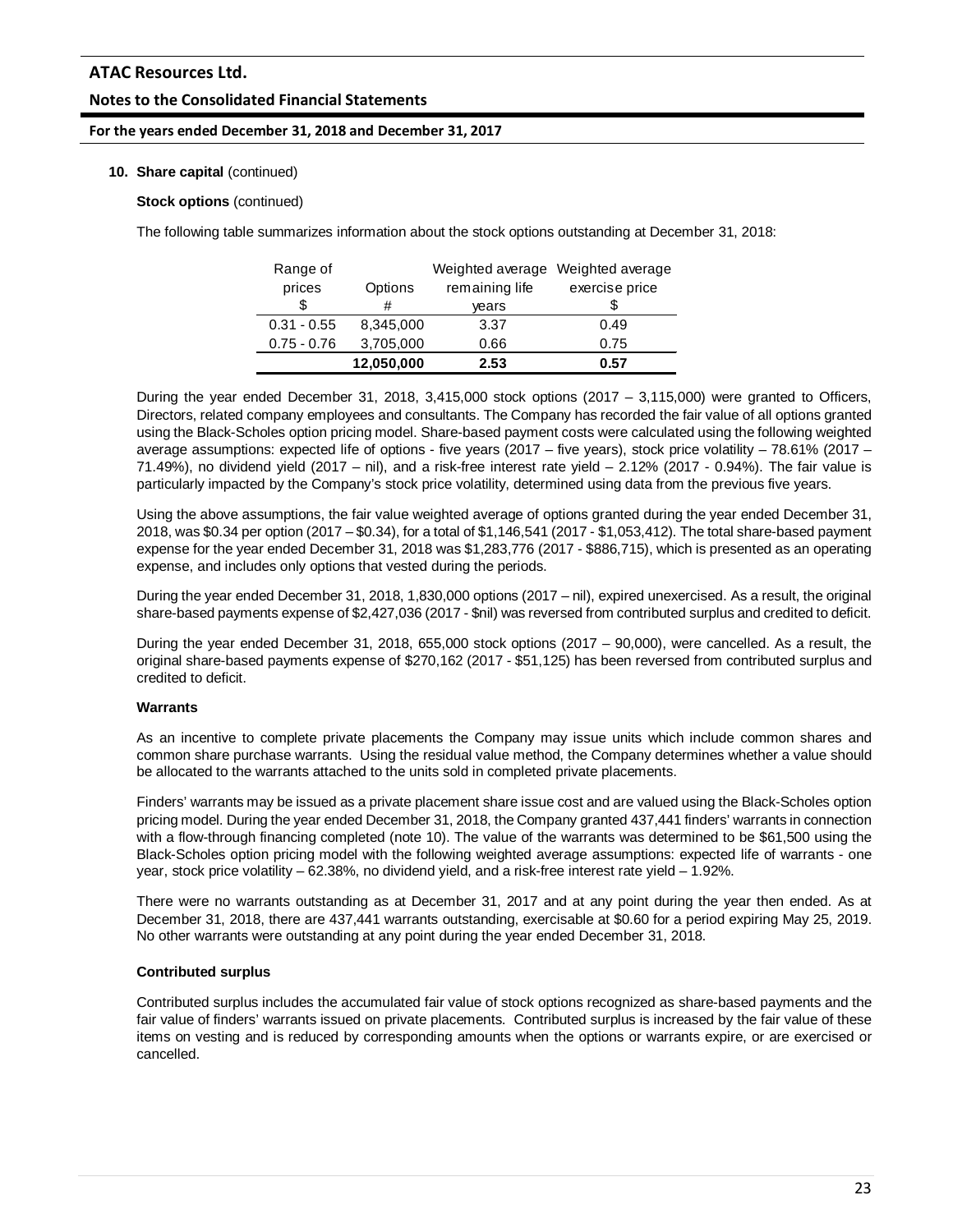### **Notes to the Consolidated Financial Statements**

### **For the years ended December 31, 2018 and December 31, 2017**

### **10. Share capital** (continued)

**Stock options** (continued)

The following table summarizes information about the stock options outstanding at December 31, 2018:

| Range of      |            | Weighted average | Weighted average |
|---------------|------------|------------------|------------------|
| prices        | Options    | remaining life   | exercise price   |
| \$            | #          | years            |                  |
| $0.31 - 0.55$ | 8,345,000  | 3.37             | 0.49             |
| $0.75 - 0.76$ | 3,705,000  | 0.66             | 0.75             |
|               | 12,050,000 | 2.53             | 0.57             |

During the year ended December 31, 2018, 3,415,000 stock options (2017 – 3,115,000) were granted to Officers, Directors, related company employees and consultants. The Company has recorded the fair value of all options granted using the Black-Scholes option pricing model. Share-based payment costs were calculated using the following weighted average assumptions: expected life of options - five years (2017 – five years), stock price volatility – 78.61% (2017 – 71.49%), no dividend yield (2017 – nil), and a risk-free interest rate yield – 2.12% (2017 - 0.94%). The fair value is particularly impacted by the Company's stock price volatility, determined using data from the previous five years.

Using the above assumptions, the fair value weighted average of options granted during the year ended December 31, 2018, was \$0.34 per option (2017 – \$0.34), for a total of \$1,146,541 (2017 - \$1,053,412). The total share-based payment expense for the year ended December 31, 2018 was \$1,283,776 (2017 - \$886,715), which is presented as an operating expense, and includes only options that vested during the periods.

During the year ended December 31, 2018, 1,830,000 options (2017 – nil), expired unexercised. As a result, the original share-based payments expense of \$2,427,036 (2017 - \$nil) was reversed from contributed surplus and credited to deficit.

During the year ended December 31, 2018, 655,000 stock options (2017 – 90,000), were cancelled. As a result, the original share-based payments expense of \$270,162 (2017 - \$51,125) has been reversed from contributed surplus and credited to deficit.

### **Warrants**

As an incentive to complete private placements the Company may issue units which include common shares and common share purchase warrants. Using the residual value method, the Company determines whether a value should be allocated to the warrants attached to the units sold in completed private placements.

Finders' warrants may be issued as a private placement share issue cost and are valued using the Black-Scholes option pricing model. During the year ended December 31, 2018, the Company granted 437,441 finders' warrants in connection with a flow-through financing completed (note 10). The value of the warrants was determined to be \$61,500 using the Black-Scholes option pricing model with the following weighted average assumptions: expected life of warrants - one year, stock price volatility – 62.38%, no dividend yield, and a risk-free interest rate yield – 1.92%.

There were no warrants outstanding as at December 31, 2017 and at any point during the year then ended. As at December 31, 2018, there are 437,441 warrants outstanding, exercisable at \$0.60 for a period expiring May 25, 2019. No other warrants were outstanding at any point during the year ended December 31, 2018.

### **Contributed surplus**

Contributed surplus includes the accumulated fair value of stock options recognized as share-based payments and the fair value of finders' warrants issued on private placements. Contributed surplus is increased by the fair value of these items on vesting and is reduced by corresponding amounts when the options or warrants expire, or are exercised or cancelled.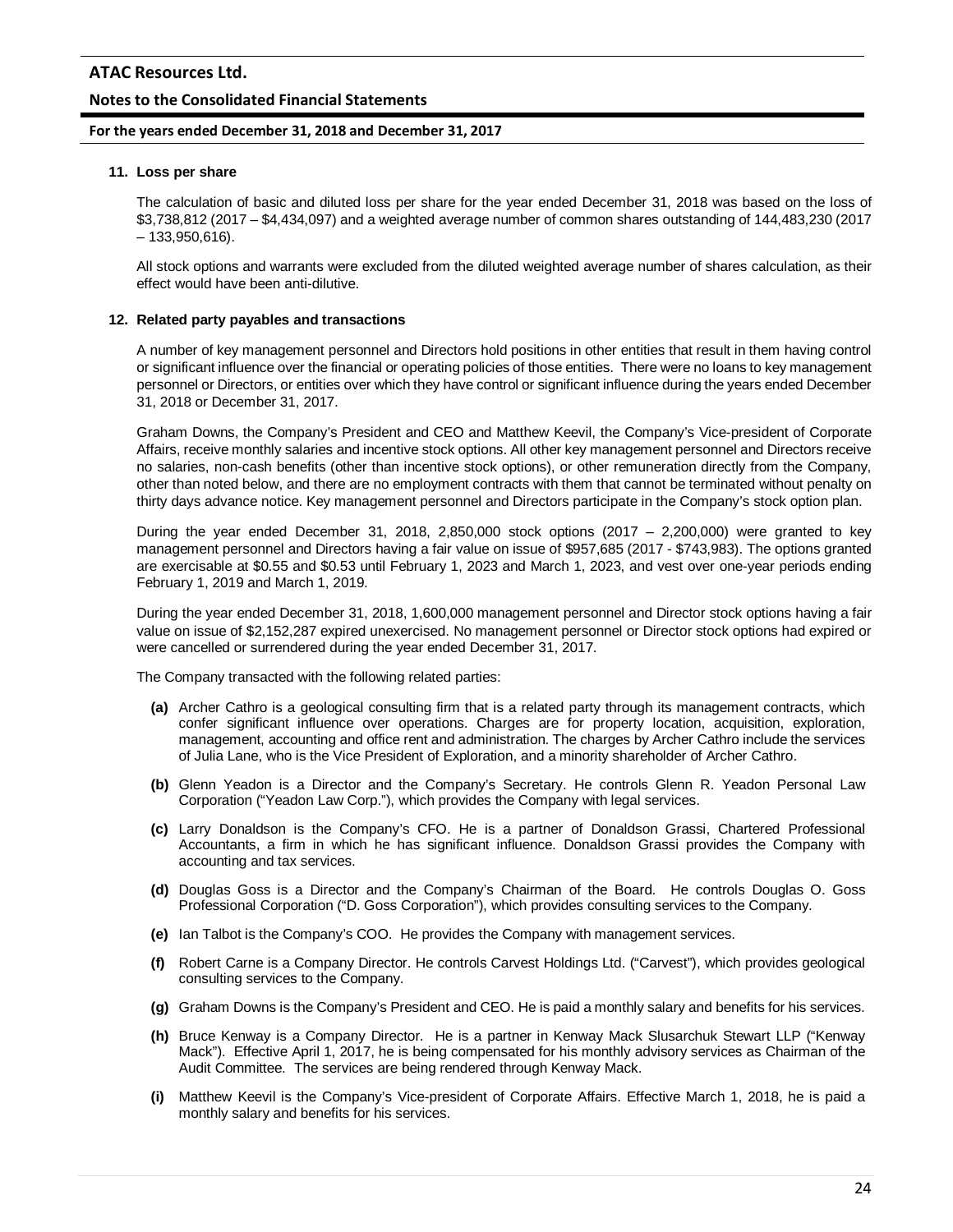### **Notes to the Consolidated Financial Statements**

### **For the years ended December 31, 2018 and December 31, 2017**

### **11. Loss per share**

The calculation of basic and diluted loss per share for the year ended December 31, 2018 was based on the loss of \$3,738,812 (2017 – \$4,434,097) and a weighted average number of common shares outstanding of 144,483,230 (2017 – 133,950,616).

All stock options and warrants were excluded from the diluted weighted average number of shares calculation, as their effect would have been anti-dilutive.

### **12. Related party payables and transactions**

A number of key management personnel and Directors hold positions in other entities that result in them having control or significant influence over the financial or operating policies of those entities. There were no loans to key management personnel or Directors, or entities over which they have control or significant influence during the years ended December 31, 2018 or December 31, 2017.

Graham Downs, the Company's President and CEO and Matthew Keevil, the Company's Vice-president of Corporate Affairs, receive monthly salaries and incentive stock options. All other key management personnel and Directors receive no salaries, non-cash benefits (other than incentive stock options), or other remuneration directly from the Company, other than noted below, and there are no employment contracts with them that cannot be terminated without penalty on thirty days advance notice. Key management personnel and Directors participate in the Company's stock option plan.

During the year ended December 31, 2018, 2,850,000 stock options (2017 – 2,200,000) were granted to key management personnel and Directors having a fair value on issue of \$957,685 (2017 - \$743,983). The options granted are exercisable at \$0.55 and \$0.53 until February 1, 2023 and March 1, 2023, and vest over one-year periods ending February 1, 2019 and March 1, 2019.

During the year ended December 31, 2018, 1,600,000 management personnel and Director stock options having a fair value on issue of \$2,152,287 expired unexercised. No management personnel or Director stock options had expired or were cancelled or surrendered during the year ended December 31, 2017.

The Company transacted with the following related parties:

- **(a)** Archer Cathro is a geological consulting firm that is a related party through its management contracts, which confer significant influence over operations. Charges are for property location, acquisition, exploration, management, accounting and office rent and administration. The charges by Archer Cathro include the services of Julia Lane, who is the Vice President of Exploration, and a minority shareholder of Archer Cathro.
- **(b)** Glenn Yeadon is a Director and the Company's Secretary. He controls Glenn R. Yeadon Personal Law Corporation ("Yeadon Law Corp."), which provides the Company with legal services.
- **(c)** Larry Donaldson is the Company's CFO. He is a partner of Donaldson Grassi, Chartered Professional Accountants, a firm in which he has significant influence. Donaldson Grassi provides the Company with accounting and tax services.
- **(d)** Douglas Goss is a Director and the Company's Chairman of the Board. He controls Douglas O. Goss Professional Corporation ("D. Goss Corporation"), which provides consulting services to the Company.
- **(e)** Ian Talbot is the Company's COO. He provides the Company with management services.
- **(f)** Robert Carne is a Company Director. He controls Carvest Holdings Ltd. ("Carvest"), which provides geological consulting services to the Company.
- **(g)** Graham Downs is the Company's President and CEO. He is paid a monthly salary and benefits for his services.
- **(h)** Bruce Kenway is a Company Director. He is a partner in Kenway Mack Slusarchuk Stewart LLP ("Kenway Mack"). Effective April 1, 2017, he is being compensated for his monthly advisory services as Chairman of the Audit Committee. The services are being rendered through Kenway Mack.
- **(i)** Matthew Keevil is the Company's Vice-president of Corporate Affairs. Effective March 1, 2018, he is paid a monthly salary and benefits for his services.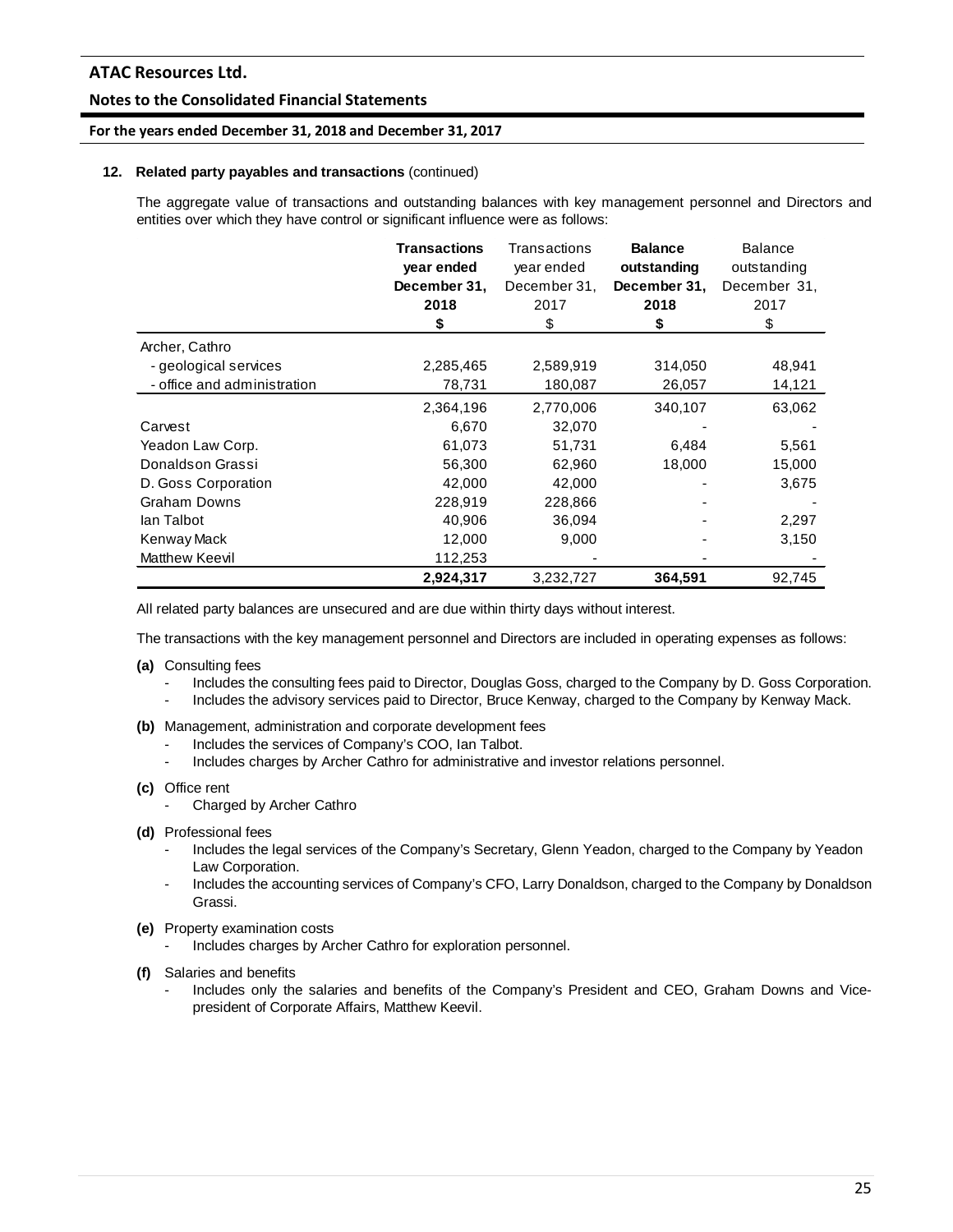### **Notes to the Consolidated Financial Statements**

### **For the years ended December 31, 2018 and December 31, 2017**

### **12. Related party payables and transactions** (continued)

The aggregate value of transactions and outstanding balances with key management personnel and Directors and entities over which they have control or significant influence were as follows:

|                             | <b>Transactions</b><br>year ended | Transactions<br>year ended | <b>Balance</b><br>outstanding | <b>Balance</b><br>outstanding |
|-----------------------------|-----------------------------------|----------------------------|-------------------------------|-------------------------------|
|                             | December 31,                      | December 31,               | December 31,                  | December 31,                  |
|                             | 2018                              | 2017                       | 2018                          | 2017                          |
|                             | \$                                | \$                         | \$                            | \$                            |
| Archer, Cathro              |                                   |                            |                               |                               |
| - geological services       | 2,285,465                         | 2,589,919                  | 314,050                       | 48,941                        |
| - office and administration | 78,731                            | 180,087                    | 26,057                        | 14,121                        |
|                             | 2,364,196                         | 2,770,006                  | 340,107                       | 63,062                        |
| Carvest                     | 6,670                             | 32,070                     |                               |                               |
| Yeadon Law Corp.            | 61,073                            | 51,731                     | 6,484                         | 5,561                         |
| Donaldson Grassi            | 56,300                            | 62,960                     | 18,000                        | 15,000                        |
| D. Goss Corporation         | 42,000                            | 42,000                     |                               | 3,675                         |
| <b>Graham Downs</b>         | 228,919                           | 228,866                    |                               |                               |
| lan Talbot                  | 40,906                            | 36,094                     |                               | 2,297                         |
| Kenway Mack                 | 12,000                            | 9,000                      |                               | 3,150                         |
| Matthew Keevil              | 112,253                           |                            |                               |                               |
|                             | 2,924,317                         | 3,232,727                  | 364,591                       | 92,745                        |

All related party balances are unsecured and are due within thirty days without interest.

The transactions with the key management personnel and Directors are included in operating expenses as follows:

- **(a)** Consulting fees
	- Includes the consulting fees paid to Director, Douglas Goss, charged to the Company by D. Goss Corporation.
	- Includes the advisory services paid to Director, Bruce Kenway, charged to the Company by Kenway Mack.
- **(b)** Management, administration and corporate development fees
	- Includes the services of Company's COO, Ian Talbot.
	- Includes charges by Archer Cathro for administrative and investor relations personnel.
- **(c)** Office rent
	- Charged by Archer Cathro
- **(d)** Professional fees
	- Includes the legal services of the Company's Secretary, Glenn Yeadon, charged to the Company by Yeadon Law Corporation.
	- Includes the accounting services of Company's CFO, Larry Donaldson, charged to the Company by Donaldson Grassi.
- **(e)** Property examination costs
	- Includes charges by Archer Cathro for exploration personnel.
- **(f)** Salaries and benefits
	- Includes only the salaries and benefits of the Company's President and CEO, Graham Downs and Vicepresident of Corporate Affairs, Matthew Keevil.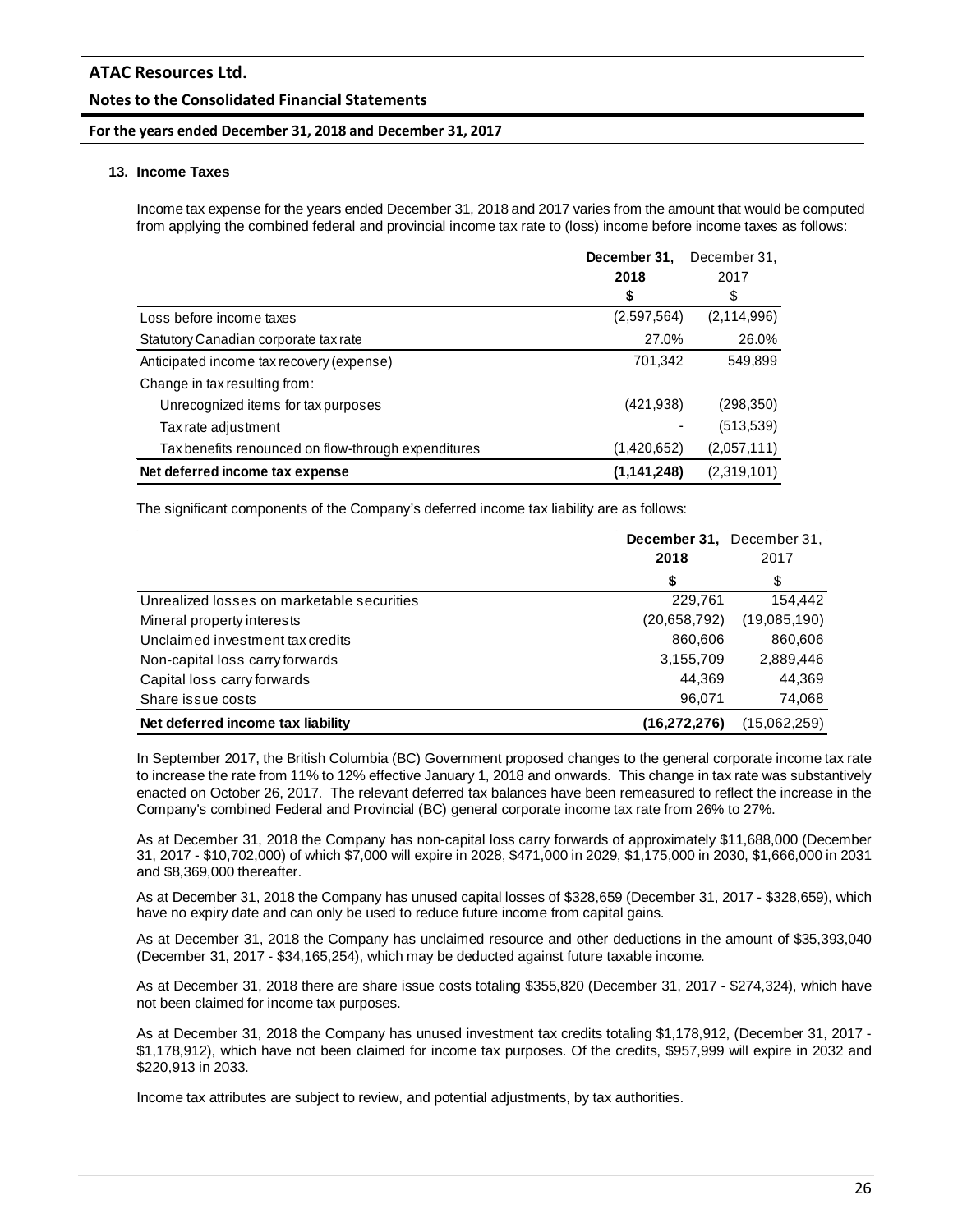### **Notes to the Consolidated Financial Statements**

### **For the years ended December 31, 2018 and December 31, 2017**

### **13. Income Taxes**

Income tax expense for the years ended December 31, 2018 and 2017 varies from the amount that would be computed from applying the combined federal and provincial income tax rate to (loss) income before income taxes as follows:

|                                                     | December 31, | December 31, |
|-----------------------------------------------------|--------------|--------------|
|                                                     | 2018         | 2017         |
|                                                     | \$           | \$           |
| Loss before income taxes                            | (2,597,564)  | (2,114,996)  |
| Statutory Canadian corporate tax rate               | 27.0%        | 26.0%        |
| Anticipated income tax recovery (expense)           | 701,342      | 549,899      |
| Change in tax resulting from:                       |              |              |
| Unrecognized items for tax purposes                 | (421, 938)   | (298, 350)   |
| Tax rate adjustment                                 |              | (513, 539)   |
| Tax benefits renounced on flow-through expenditures | (1,420,652)  | (2,057,111)  |
| Net deferred income tax expense                     | (1,141,248)  | (2,319,101)  |

The significant components of the Company's deferred income tax liability are as follows:

|                                            | December 31, December 31,<br>2018 | 2017          |
|--------------------------------------------|-----------------------------------|---------------|
|                                            | \$                                | \$            |
| Unrealized losses on marketable securities | 229,761                           | 154,442       |
| Mineral property interests                 | (20.658, 792)                     | (19.085, 190) |
| Unclaimed investment tax credits           | 860,606                           | 860,606       |
| Non-capital loss carry forwards            | 3,155,709                         | 2,889,446     |
| Capital loss carry forwards                | 44.369                            | 44,369        |
| Share issue costs                          | 96,071                            | 74,068        |
| Net deferred income tax liability          | (16, 272, 276)                    | (15,062,259)  |

In September 2017, the British Columbia (BC) Government proposed changes to the general corporate income tax rate to increase the rate from 11% to 12% effective January 1, 2018 and onwards. This change in tax rate was substantively enacted on October 26, 2017. The relevant deferred tax balances have been remeasured to reflect the increase in the Company's combined Federal and Provincial (BC) general corporate income tax rate from 26% to 27%.

As at December 31, 2018 the Company has non-capital loss carry forwards of approximately \$11,688,000 (December 31, 2017 - \$10,702,000) of which \$7,000 will expire in 2028, \$471,000 in 2029, \$1,175,000 in 2030, \$1,666,000 in 2031 and \$8,369,000 thereafter.

As at December 31, 2018 the Company has unused capital losses of \$328,659 (December 31, 2017 - \$328,659), which have no expiry date and can only be used to reduce future income from capital gains.

As at December 31, 2018 the Company has unclaimed resource and other deductions in the amount of \$35,393,040 (December 31, 2017 - \$34,165,254), which may be deducted against future taxable income.

As at December 31, 2018 there are share issue costs totaling \$355,820 (December 31, 2017 - \$274,324), which have not been claimed for income tax purposes.

As at December 31, 2018 the Company has unused investment tax credits totaling \$1,178,912, (December 31, 2017 - \$1,178,912), which have not been claimed for income tax purposes. Of the credits, \$957,999 will expire in 2032 and \$220,913 in 2033.

Income tax attributes are subject to review, and potential adjustments, by tax authorities.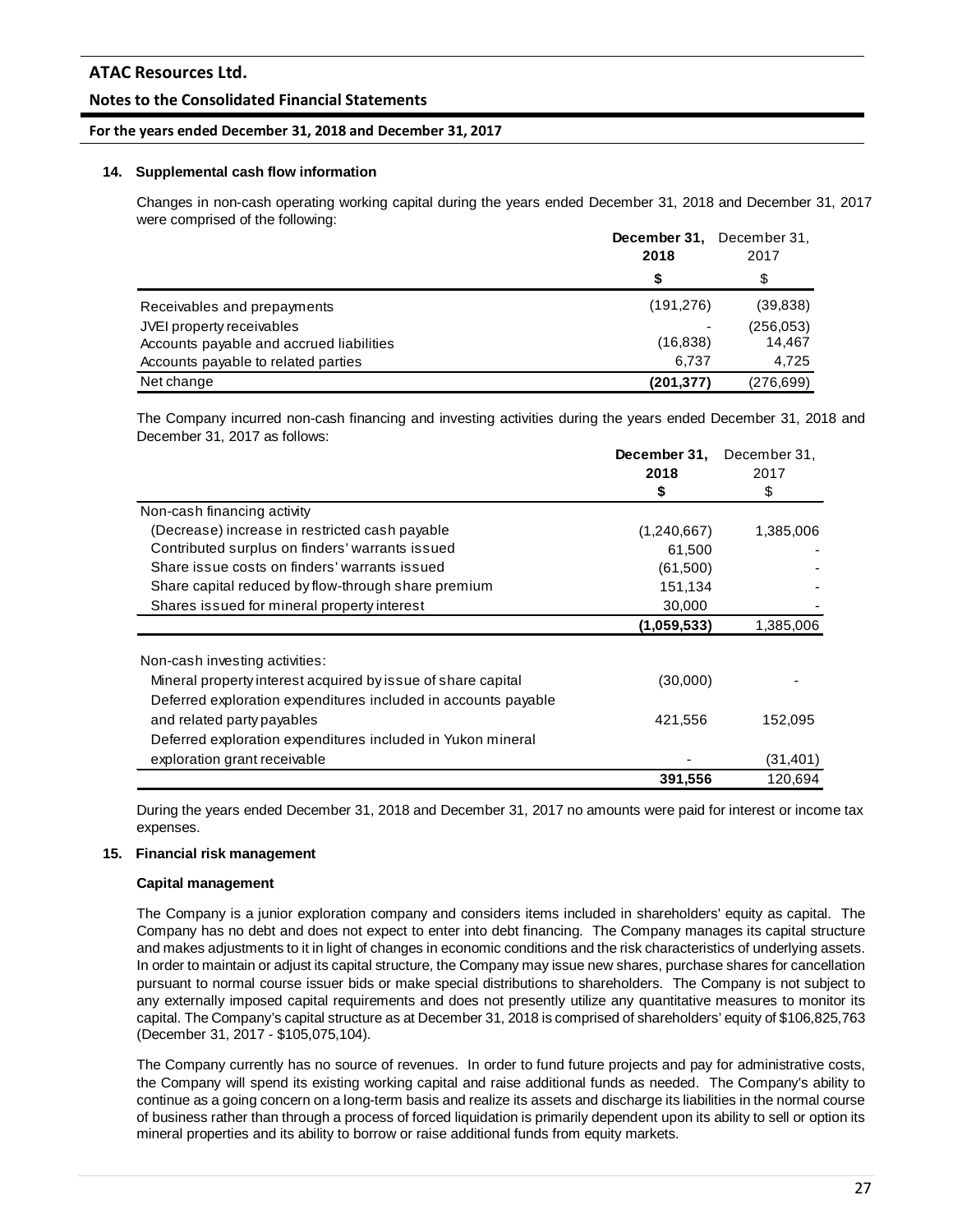### **Notes to the Consolidated Financial Statements**

### **For the years ended December 31, 2018 and December 31, 2017**

### **14. Supplemental cash flow information**

Changes in non-cash operating working capital during the years ended December 31, 2018 and December 31, 2017 were comprised of the following:

|                                          | December 31,<br>2018 | December 31,<br>2017 |
|------------------------------------------|----------------------|----------------------|
|                                          | S                    | \$                   |
| Receivables and prepayments              | (191, 276)           | (39, 838)            |
| JVEI property receivables                |                      | (256.053)            |
| Accounts payable and accrued liabilities | (16, 838)            | 14.467               |
| Accounts payable to related parties      | 6.737                | 4,725                |
| Net change                               | (201,377)            | (276,699)            |

The Company incurred non-cash financing and investing activities during the years ended December 31, 2018 and December 31, 2017 as follows:

|                                                                | December 31, | December 31, |  |
|----------------------------------------------------------------|--------------|--------------|--|
|                                                                | 2018         | 2017         |  |
|                                                                | S            | \$           |  |
| Non-cash financing activity                                    |              |              |  |
| (Decrease) increase in restricted cash payable                 | (1,240,667)  | 1,385,006    |  |
| Contributed surplus on finders' warrants issued                | 61,500       |              |  |
| Share issue costs on finders' warrants issued                  | (61,500)     |              |  |
| Share capital reduced by flow-through share premium            | 151,134      |              |  |
| Shares issued for mineral property interest                    | 30,000       |              |  |
|                                                                | (1.059.533)  | 1,385,006    |  |
|                                                                |              |              |  |
| Non-cash investing activities:                                 |              |              |  |
| Mineral property interest acquired by issue of share capital   | (30,000)     |              |  |
| Deferred exploration expenditures included in accounts payable |              |              |  |
| and related party payables                                     | 421,556      | 152,095      |  |
| Deferred exploration expenditures included in Yukon mineral    |              |              |  |
| exploration grant receivable                                   |              | (31,401)     |  |
|                                                                | 391,556      | 120,694      |  |

During the years ended December 31, 2018 and December 31, 2017 no amounts were paid for interest or income tax expenses.

### **15. Financial risk management**

### **Capital management**

The Company is a junior exploration company and considers items included in shareholders' equity as capital. The Company has no debt and does not expect to enter into debt financing. The Company manages its capital structure and makes adjustments to it in light of changes in economic conditions and the risk characteristics of underlying assets. In order to maintain or adjust its capital structure, the Company may issue new shares, purchase shares for cancellation pursuant to normal course issuer bids or make special distributions to shareholders. The Company is not subject to any externally imposed capital requirements and does not presently utilize any quantitative measures to monitor its capital. The Company's capital structure as at December 31, 2018 is comprised of shareholders' equity of \$106,825,763 (December 31, 2017 - \$105,075,104).

The Company currently has no source of revenues. In order to fund future projects and pay for administrative costs, the Company will spend its existing working capital and raise additional funds as needed. The Company's ability to continue as a going concern on a long-term basis and realize its assets and discharge its liabilities in the normal course of business rather than through a process of forced liquidation is primarily dependent upon its ability to sell or option its mineral properties and its ability to borrow or raise additional funds from equity markets.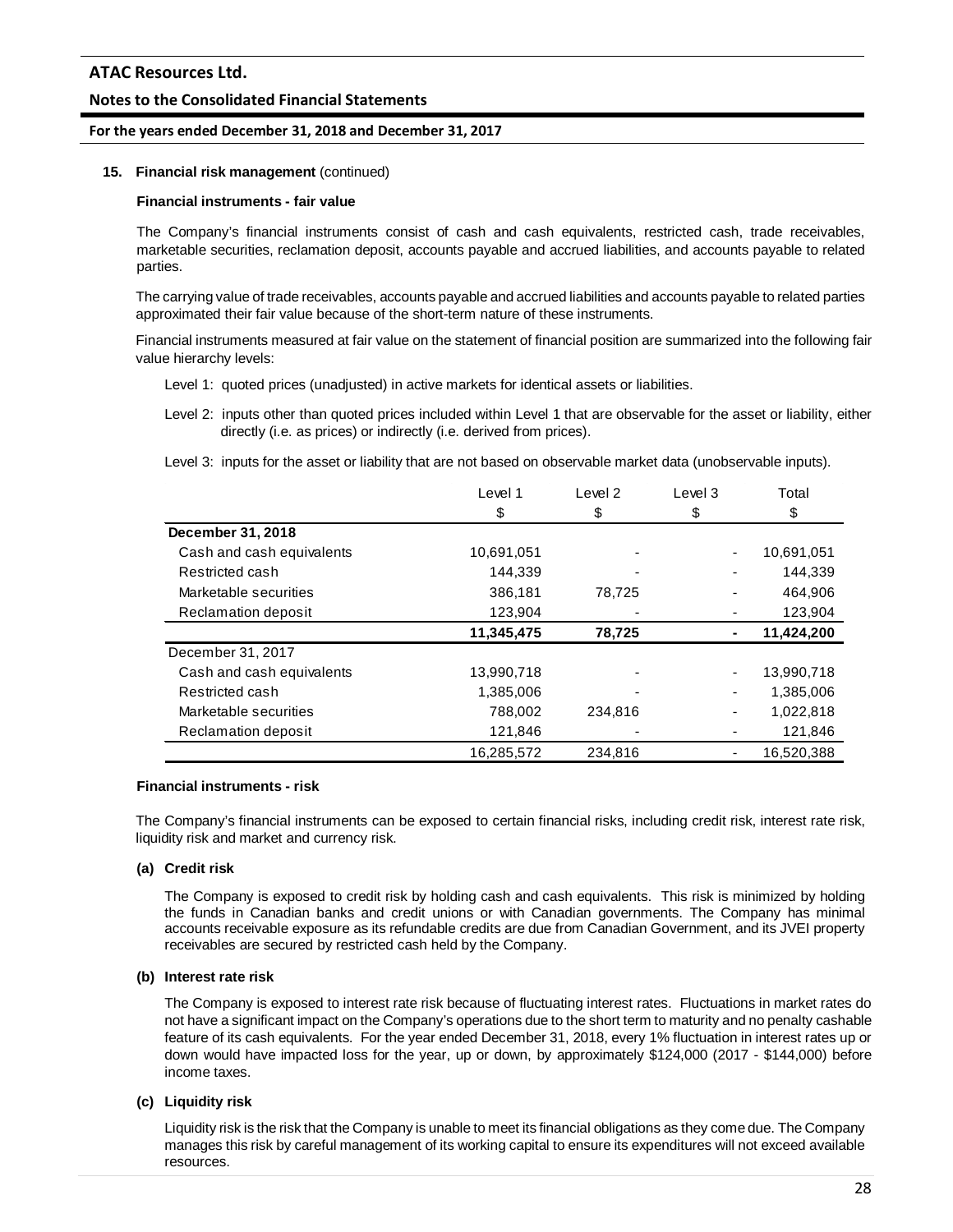### **Notes to the Consolidated Financial Statements**

### **For the years ended December 31, 2018 and December 31, 2017**

### **15. Financial risk management** (continued)

#### **Financial instruments - fair value**

The Company's financial instruments consist of cash and cash equivalents, restricted cash, trade receivables, marketable securities, reclamation deposit, accounts payable and accrued liabilities, and accounts payable to related parties.

The carrying value of trade receivables, accounts payable and accrued liabilities and accounts payable to related parties approximated their fair value because of the short-term nature of these instruments.

Financial instruments measured at fair value on the statement of financial position are summarized into the following fair value hierarchy levels:

Level 1: quoted prices (unadjusted) in active markets for identical assets or liabilities.

Level 2: inputs other than quoted prices included within Level 1 that are observable for the asset or liability, either directly (i.e. as prices) or indirectly (i.e. derived from prices).

Level 3: inputs for the asset or liability that are not based on observable market data (unobservable inputs).

|                           | Level 1    | Level <sub>2</sub> | Level 3                      | Total      |
|---------------------------|------------|--------------------|------------------------------|------------|
|                           | \$         | \$                 | \$                           | \$         |
| December 31, 2018         |            |                    |                              |            |
| Cash and cash equivalents | 10,691,051 |                    |                              | 10,691,051 |
| Restricted cash           | 144,339    |                    |                              | 144.339    |
| Marketable securities     | 386,181    | 78,725             |                              | 464,906    |
| Reclamation deposit       | 123,904    |                    |                              | 123,904    |
|                           | 11,345,475 | 78,725             |                              | 11,424,200 |
| December 31, 2017         |            |                    |                              |            |
| Cash and cash equivalents | 13,990,718 |                    | $\qquad \qquad \blacksquare$ | 13,990,718 |
| Restricted cash           | 1,385,006  |                    |                              | 1,385,006  |
| Marketable securities     | 788,002    | 234.816            |                              | 1,022,818  |
| Reclamation deposit       | 121,846    |                    |                              | 121,846    |
|                           | 16,285,572 | 234,816            |                              | 16,520,388 |

### **Financial instruments - risk**

The Company's financial instruments can be exposed to certain financial risks, including credit risk, interest rate risk, liquidity risk and market and currency risk.

### **(a) Credit risk**

The Company is exposed to credit risk by holding cash and cash equivalents. This risk is minimized by holding the funds in Canadian banks and credit unions or with Canadian governments. The Company has minimal accounts receivable exposure as its refundable credits are due from Canadian Government, and its JVEI property receivables are secured by restricted cash held by the Company.

#### **(b) Interest rate risk**

The Company is exposed to interest rate risk because of fluctuating interest rates. Fluctuations in market rates do not have a significant impact on the Company's operations due to the short term to maturity and no penalty cashable feature of its cash equivalents. For the year ended December 31, 2018, every 1% fluctuation in interest rates up or down would have impacted loss for the year, up or down, by approximately \$124,000 (2017 - \$144,000) before income taxes.

### **(c) Liquidity risk**

Liquidity risk is the risk that the Company is unable to meet its financial obligations as they come due. The Company manages this risk by careful management of its working capital to ensure its expenditures will not exceed available resources.